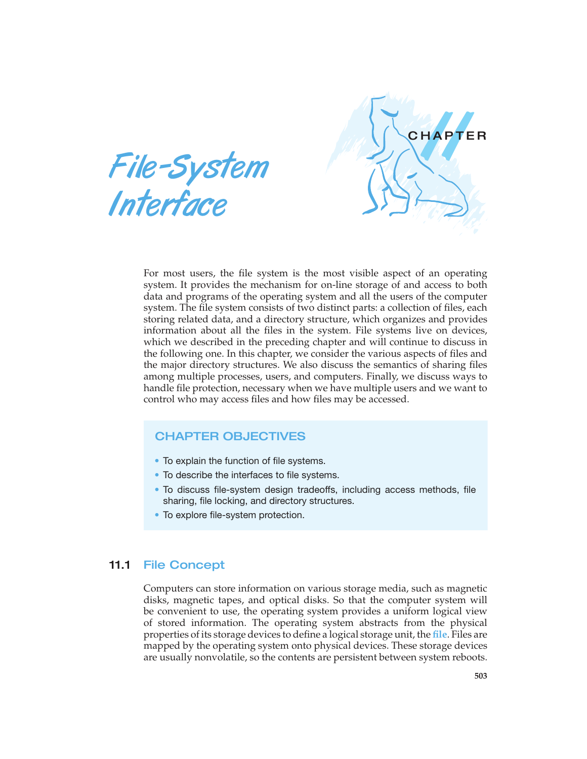

For most users, the file system is the most visible aspect of an operating system. It provides the mechanism for on-line storage of and access to both data and programs of the operating system and all the users of the computer system. The file system consists of two distinct parts: a collection of files, each storing related data, and a directory structure, which organizes and provides information about all the files in the system. File systems live on devices, which we described in the preceding chapter and will continue to discuss in the following one. In this chapter, we consider the various aspects of files and the major directory structures. We also discuss the semantics of sharing files among multiple processes, users, and computers. Finally, we discuss ways to handle file protection, necessary when we have multiple users and we want to control who may access files and how files may be accessed.

# CHAPTER OBJECTIVES

- To explain the function of file systems.
- To describe the interfaces to file systems.
- To discuss file-system design tradeoffs, including access methods, file sharing, file locking, and directory structures.
- To explore file-system protection.

# 11.1 File Concept

Computers can store information on various storage media, such as magnetic disks, magnetic tapes, and optical disks. So that the computer system will be convenient to use, the operating system provides a uniform logical view of stored information. The operating system abstracts from the physical properties of its storage devices to define a logical storage unit, the **file**. Files are mapped by the operating system onto physical devices. These storage devices are usually nonvolatile, so the contents are persistent between system reboots.

CHAPTER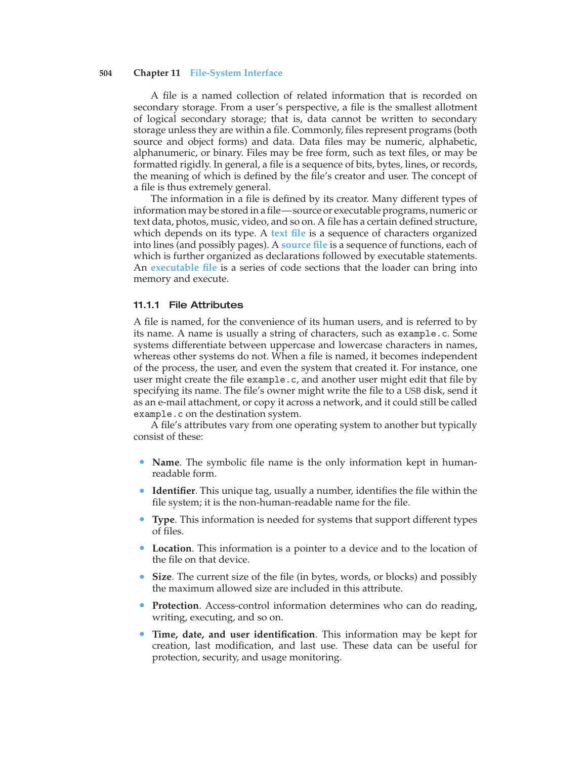A file is a named collection of related information that is recorded on secondary storage. From a user's perspective, a file is the smallest allotment of logical secondary storage; that is, data cannot be written to secondary storage unless they are within a file. Commonly, files represent programs (both source and object forms) and data. Data files may be numeric, alphabetic, alphanumeric, or binary. Files may be free form, such as text files, or may be formatted rigidly. In general, a file is a sequence of bits, bytes, lines, or records, the meaning of which is defined by the file's creator and user. The concept of a file is thus extremely general.

The information in a file is defined by its creator. Many different types of information may be stored in a file—source or executable programs, numeric or text data, photos, music, video, and so on. A file has a certain defined structure, which depends on its type. A **text file** is a sequence of characters organized into lines (and possibly pages). A **source file** is a sequence of functions, each of which is further organized as declarations followed by executable statements. An **executable file** is a series of code sections that the loader can bring into memory and execute.

## 11.1.1 File Attributes

A file is named, for the convenience of its human users, and is referred to by its name. A name is usually a string of characters, such as example.c. Some systems differentiate between uppercase and lowercase characters in names, whereas other systems do not. When a file is named, it becomes independent of the process, the user, and even the system that created it. For instance, one user might create the file example.c, and another user might edit that file by specifying its name. The file's owner might write the file to a USB disk, send it as an e-mail attachment, or copy it across a network, and it could still be called example.c on the destination system.

A file's attributes vary from one operating system to another but typically consist of these:

- **Name**. The symbolic file name is the only information kept in humanreadable form.
- **Identifier**. This unique tag, usually a number, identifies the file within the file system; it is the non-human-readable name for the file.
- **Type**. This information is needed for systems that support different types of files.
- **Location**. This information is a pointer to a device and to the location of the file on that device.
- **Size**. The current size of the file (in bytes, words, or blocks) and possibly the maximum allowed size are included in this attribute.
- Protection. Access-control information determines who can do reading, writing, executing, and so on.
- **Time, date, and user identification**. This information may be kept for creation, last modification, and last use. These data can be useful for protection, security, and usage monitoring.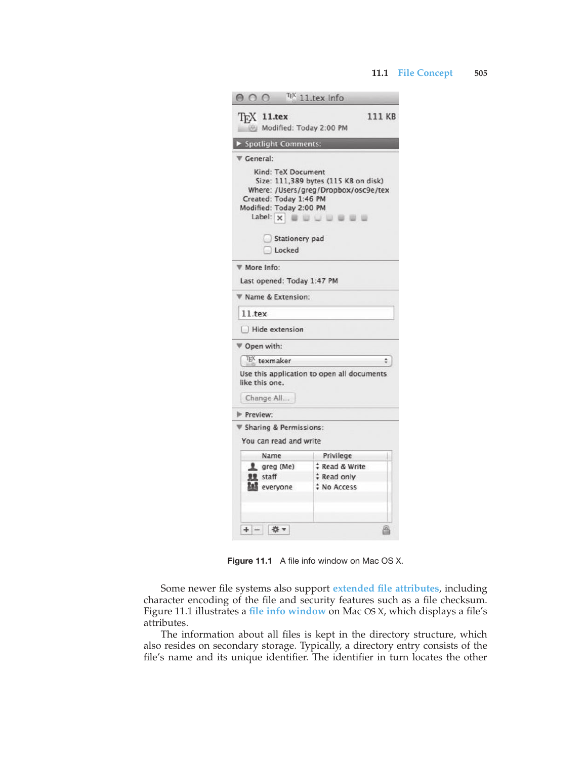| 000                                                                     | $T_X$ 11.tex Info                                                                                    |
|-------------------------------------------------------------------------|------------------------------------------------------------------------------------------------------|
| TFX 11.tex<br>Modified: Today 2:00 PM                                   | 111 KB                                                                                               |
| Spotlight Comments:                                                     |                                                                                                      |
| General:                                                                |                                                                                                      |
| Kind: TeX Document<br>Created: Today 1:46 PM<br>Modified: Today 2:00 PM | Size: 111,389 bytes (115 KB on disk)<br>Where: /Users/greg/Dropbox/osc9e/tex<br>Label: X U U U U U U |
| Stationery pad<br>Locked                                                |                                                                                                      |
| ▼ More Info:                                                            |                                                                                                      |
| Last opened: Today 1:47 PM                                              |                                                                                                      |
| ▼ Name & Extension:                                                     |                                                                                                      |
| $11.$ tex                                                               |                                                                                                      |
| Hide extension                                                          |                                                                                                      |
| ▼ Open with:                                                            |                                                                                                      |
| TEX texmaker                                                            |                                                                                                      |
| like this one.                                                          | Use this application to open all documents                                                           |
| Change All                                                              |                                                                                                      |
| Preview:                                                                |                                                                                                      |
| <b>V</b> Sharing & Permissions:<br>You can read and write               |                                                                                                      |
| Name                                                                    | Privilege                                                                                            |
| greg (Me)<br><b>11</b> staff<br>everyone                                | # Read & Write<br># Read only<br># No Access                                                         |
| +- 章▼                                                                   |                                                                                                      |

**Figure 11.1** A file info window on Mac OS X.

Some newer file systems also support **extended file attributes**, including character encoding of the file and security features such as a file checksum. Figure 11.1 illustrates a **file info window** on Mac OS X, which displays a file's attributes.

The information about all files is kept in the directory structure, which also resides on secondary storage. Typically, a directory entry consists of the file's name and its unique identifier. The identifier in turn locates the other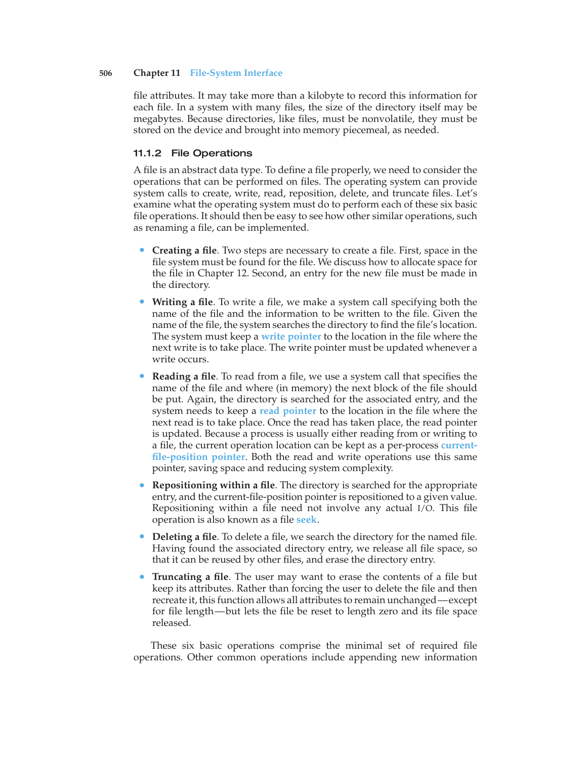file attributes. It may take more than a kilobyte to record this information for each file. In a system with many files, the size of the directory itself may be megabytes. Because directories, like files, must be nonvolatile, they must be stored on the device and brought into memory piecemeal, as needed.

# 11.1.2 File Operations

A file is an abstract data type. To define a file properly, we need to consider the operations that can be performed on files. The operating system can provide system calls to create, write, read, reposition, delete, and truncate files. Let's examine what the operating system must do to perform each of these six basic file operations. It should then be easy to see how other similar operations, such as renaming a file, can be implemented.

- **Creating a file**. Two steps are necessary to create a file. First, space in the file system must be found for the file. We discuss how to allocate space for the file in Chapter 12. Second, an entry for the new file must be made in the directory.
- **Writing a file**. To write a file, we make a system call specifying both the name of the file and the information to be written to the file. Given the name of the file, the system searches the directory to find the file's location. The system must keep a **write pointer** to the location in the file where the next write is to take place. The write pointer must be updated whenever a write occurs.
- **Reading a file**. To read from a file, we use a system call that specifies the name of the file and where (in memory) the next block of the file should be put. Again, the directory is searched for the associated entry, and the system needs to keep a **read pointer** to the location in the file where the next read is to take place. Once the read has taken place, the read pointer is updated. Because a process is usually either reading from or writing to a file, the current operation location can be kept as a per-process **currentfile-position pointer**. Both the read and write operations use this same pointer, saving space and reducing system complexity.
- **Repositioning within a file**. The directory is searched for the appropriate entry, and the current-file-position pointer is repositioned to a given value. Repositioning within a file need not involve any actual I/O. This file operation is also known as a file **seek**.
- **Deleting a file**. To delete a file, we search the directory for the named file. Having found the associated directory entry, we release all file space, so that it can be reused by other files, and erase the directory entry.
- **Truncating a file**. The user may want to erase the contents of a file but keep its attributes. Rather than forcing the user to delete the file and then recreate it, this function allows all attributes to remain unchanged—except for file length—but lets the file be reset to length zero and its file space released.

These six basic operations comprise the minimal set of required file operations. Other common operations include appending new information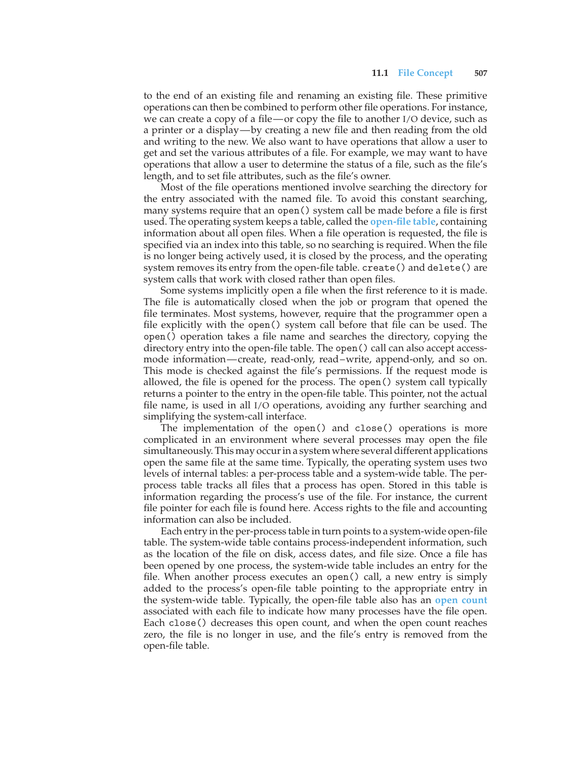to the end of an existing file and renaming an existing file. These primitive operations can then be combined to perform other file operations. For instance, we can create a copy of a file—or copy the file to another I/O device, such as a printer or a display—by creating a new file and then reading from the old and writing to the new. We also want to have operations that allow a user to get and set the various attributes of a file. For example, we may want to have operations that allow a user to determine the status of a file, such as the file's length, and to set file attributes, such as the file's owner.

Most of the file operations mentioned involve searching the directory for the entry associated with the named file. To avoid this constant searching, many systems require that an open() system call be made before a file is first used. The operating system keeps a table, called the **open-file table**, containing information about all open files. When a file operation is requested, the file is specified via an index into this table, so no searching is required. When the file is no longer being actively used, it is closed by the process, and the operating system removes its entry from the open-file table. create() and delete() are system calls that work with closed rather than open files.

Some systems implicitly open a file when the first reference to it is made. The file is automatically closed when the job or program that opened the file terminates. Most systems, however, require that the programmer open a file explicitly with the open() system call before that file can be used. The open() operation takes a file name and searches the directory, copying the directory entry into the open-file table. The open() call can also accept accessmode information—create, read-only, read –write, append-only, and so on. This mode is checked against the file's permissions. If the request mode is allowed, the file is opened for the process. The open() system call typically returns a pointer to the entry in the open-file table. This pointer, not the actual file name, is used in all I/O operations, avoiding any further searching and simplifying the system-call interface.

The implementation of the open() and close() operations is more complicated in an environment where several processes may open the file simultaneously. This may occur in a system where several different applications open the same file at the same time. Typically, the operating system uses two levels of internal tables: a per-process table and a system-wide table. The perprocess table tracks all files that a process has open. Stored in this table is information regarding the process's use of the file. For instance, the current file pointer for each file is found here. Access rights to the file and accounting information can also be included.

Each entry in the per-process table in turn points to a system-wide open-file table. The system-wide table contains process-independent information, such as the location of the file on disk, access dates, and file size. Once a file has been opened by one process, the system-wide table includes an entry for the file. When another process executes an open() call, a new entry is simply added to the process's open-file table pointing to the appropriate entry in the system-wide table. Typically, the open-file table also has an **open count** associated with each file to indicate how many processes have the file open. Each close() decreases this open count, and when the open count reaches zero, the file is no longer in use, and the file's entry is removed from the open-file table.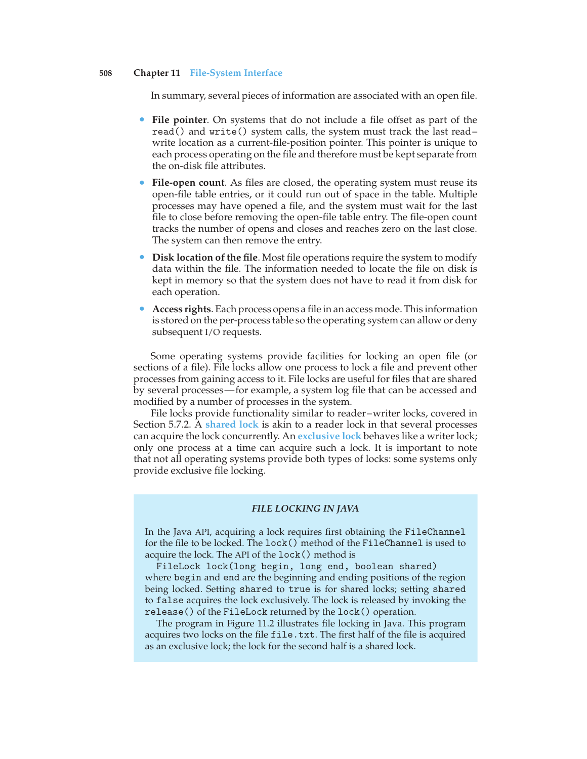In summary, several pieces of information are associated with an open file.

- File pointer. On systems that do not include a file offset as part of the read() and write() system calls, the system must track the last read – write location as a current-file-position pointer. This pointer is unique to each process operating on the file and therefore must be kept separate from the on-disk file attributes.
- File-open count. As files are closed, the operating system must reuse its open-file table entries, or it could run out of space in the table. Multiple processes may have opened a file, and the system must wait for the last file to close before removing the open-file table entry. The file-open count tracks the number of opens and closes and reaches zero on the last close. The system can then remove the entry.
- **Disk location of the file**. Most file operations require the system to modify data within the file. The information needed to locate the file on disk is kept in memory so that the system does not have to read it from disk for each operation.
- **Access rights**. Each process opens a file in an access mode. This information is stored on the per-process table so the operating system can allow or deny subsequent I/O requests.

Some operating systems provide facilities for locking an open file (or sections of a file). File locks allow one process to lock a file and prevent other processes from gaining access to it. File locks are useful for files that are shared by several processes— for example, a system log file that can be accessed and modified by a number of processes in the system.

File locks provide functionality similar to reader–writer locks, covered in Section 5.7.2. A **shared lock** is akin to a reader lock in that several processes can acquire the lock concurrently. An **exclusive lock** behaves like a writer lock; only one process at a time can acquire such a lock. It is important to note that not all operating systems provide both types of locks: some systems only provide exclusive file locking.

### *FILE LOCKING IN JAVA*

In the Java API, acquiring a lock requires first obtaining the FileChannel for the file to be locked. The lock() method of the FileChannel is used to acquire the lock. The API of the lock() method is

FileLock lock(long begin, long end, boolean shared) where begin and end are the beginning and ending positions of the region being locked. Setting shared to true is for shared locks; setting shared to false acquires the lock exclusively. The lock is released by invoking the release() of the FileLock returned by the lock() operation.

The program in Figure 11.2 illustrates file locking in Java. This program acquires two locks on the file file.txt. The first half of the file is acquired as an exclusive lock; the lock for the second half is a shared lock.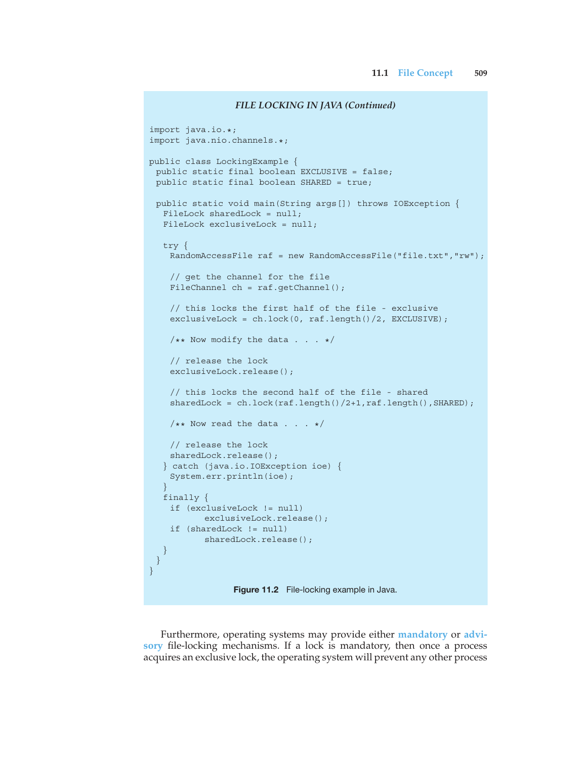#### *FILE LOCKING IN JAVA (Continued)*

```
import java.io.*;
import java.nio.channels.*;
public class LockingExample {
 public static final boolean EXCLUSIVE = false;
 public static final boolean SHARED = true;
 public static void main(String args[]) throws IOException {
  FileLock sharedLock = null;
  FileLock exclusiveLock = null;
  try {
   RandomAccessFile raf = new RandomAccessFile("file.txt","rw");
   // get the channel for the file
   FileChannel ch = raf.getChannel();
    // this locks the first half of the file - exclusive
    exclusiveLock = ch.lock(0, raf.length()/2, EXCLUSIVE);
   /** Now modify the data . . . */
   // release the lock
    exclusiveLock.release();
    // this locks the second half of the file - shared
   sharedLock = ch.lock(raf.length()/2+1,raf.length(),SHARED);
   /** Now read the data . . . */
    // release the lock
    sharedLock.release();
  } catch (java.io.IOException ioe) {
   System.err.println(ioe);
  }
  finally {
   if (exclusiveLock != null)
          exclusiveLock.release();
   if (sharedLock != null)
          sharedLock.release();
  }
 }
}
                Figure 11.2 File-locking example in Java.
```
Furthermore, operating systems may provide either **mandatory** or **advisory** file-locking mechanisms. If a lock is mandatory, then once a process acquires an exclusive lock, the operating system will prevent any other process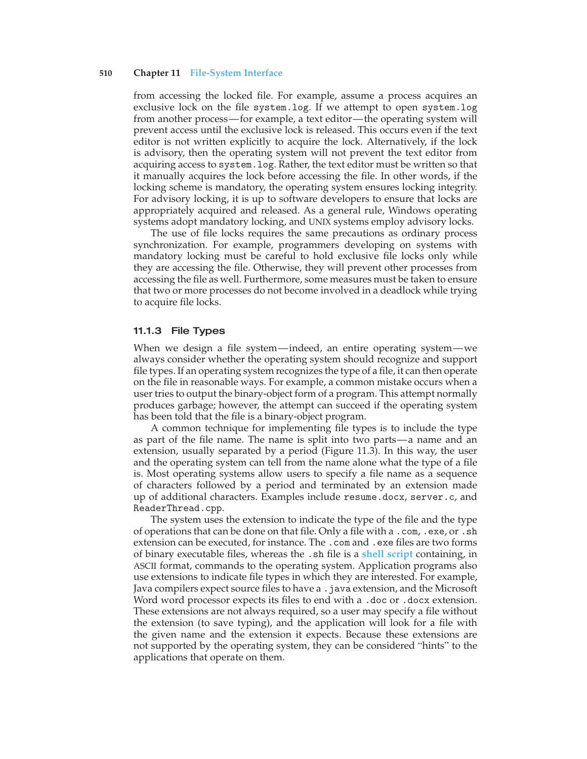from accessing the locked file. For example, assume a process acquires an exclusive lock on the file system.log. If we attempt to open system.log from another process— for example, a text editor— the operating system will prevent access until the exclusive lock is released. This occurs even if the text editor is not written explicitly to acquire the lock. Alternatively, if the lock is advisory, then the operating system will not prevent the text editor from acquiring access to system.log. Rather, the text editor must be written so that it manually acquires the lock before accessing the file. In other words, if the locking scheme is mandatory, the operating system ensures locking integrity. For advisory locking, it is up to software developers to ensure that locks are appropriately acquired and released. As a general rule, Windows operating systems adopt mandatory locking, and UNIX systems employ advisory locks.

The use of file locks requires the same precautions as ordinary process synchronization. For example, programmers developing on systems with mandatory locking must be careful to hold exclusive file locks only while they are accessing the file. Otherwise, they will prevent other processes from accessing the file as well. Furthermore, some measures must be taken to ensure that two or more processes do not become involved in a deadlock while trying to acquire file locks.

#### 11.1.3 File Types

When we design a file system—indeed, an entire operating system—we always consider whether the operating system should recognize and support file types. If an operating system recognizes the type of a file, it can then operate on the file in reasonable ways. For example, a common mistake occurs when a user tries to output the binary-object form of a program. This attempt normally produces garbage; however, the attempt can succeed if the operating system has been told that the file is a binary-object program.

A common technique for implementing file types is to include the type as part of the file name. The name is split into two parts—a name and an extension, usually separated by a period (Figure 11.3). In this way, the user and the operating system can tell from the name alone what the type of a file is. Most operating systems allow users to specify a file name as a sequence of characters followed by a period and terminated by an extension made up of additional characters. Examples include resume.docx, server.c, and ReaderThread.cpp.

The system uses the extension to indicate the type of the file and the type of operations that can be done on that file. Only a file with a .com, .exe, or .sh extension can be executed, for instance. The .com and .exe files are two forms of binary executable files, whereas the .sh file is a **shell script** containing, in ASCII format, commands to the operating system. Application programs also use extensions to indicate file types in which they are interested. For example, Java compilers expect source files to have a .java extension, and the Microsoft Word word processor expects its files to end with a .doc or .docx extension. These extensions are not always required, so a user may specify a file without the extension (to save typing), and the application will look for a file with the given name and the extension it expects. Because these extensions are not supported by the operating system, they can be considered "hints" to the applications that operate on them.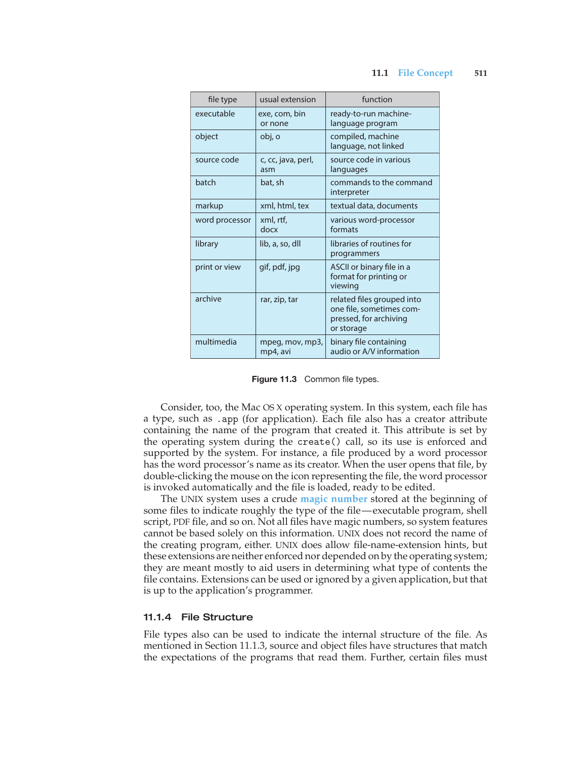| file type      | usual extension             | function                                                                                       |
|----------------|-----------------------------|------------------------------------------------------------------------------------------------|
| executable     | exe, com, bin<br>or none    | ready-to-run machine-<br>language program                                                      |
| object         | obj, o                      | compiled, machine<br>language, not linked                                                      |
| source code    | c, cc, java, perl,<br>asm   | source code in various<br>languages                                                            |
| batch          | bat, sh                     | commands to the command<br>interpreter                                                         |
| markup         | xml, html, tex              | textual data, documents                                                                        |
| word processor | xml, rtf,<br>docx           | various word-processor<br>formats                                                              |
| library        | lib, a, so, dll             | libraries of routines for<br>programmers                                                       |
| print or view  | gif, pdf, jpg               | ASCII or binary file in a<br>format for printing or<br>viewing                                 |
| archive        | rar, zip, tar               | related files grouped into<br>one file, sometimes com-<br>pressed, for archiving<br>or storage |
| multimedia     | mpeg, mov, mp3,<br>mp4, avi | binary file containing<br>audio or A/V information                                             |

**Figure 11.3** Common file types.

Consider, too, the Mac OS X operating system. In this system, each file has a type, such as .app (for application). Each file also has a creator attribute containing the name of the program that created it. This attribute is set by the operating system during the create() call, so its use is enforced and supported by the system. For instance, a file produced by a word processor has the word processor's name as its creator. When the user opens that file, by double-clicking the mouse on the icon representing the file, the word processor is invoked automatically and the file is loaded, ready to be edited.

The UNIX system uses a crude **magic number** stored at the beginning of some files to indicate roughly the type of the file—executable program, shell script, PDF file, and so on. Not all files have magic numbers, so system features cannot be based solely on this information. UNIX does not record the name of the creating program, either. UNIX does allow file-name-extension hints, but these extensions are neither enforced nor depended on by the operating system; they are meant mostly to aid users in determining what type of contents the file contains. Extensions can be used or ignored by a given application, but that is up to the application's programmer.

# 11.1.4 File Structure

File types also can be used to indicate the internal structure of the file. As mentioned in Section 11.1.3, source and object files have structures that match the expectations of the programs that read them. Further, certain files must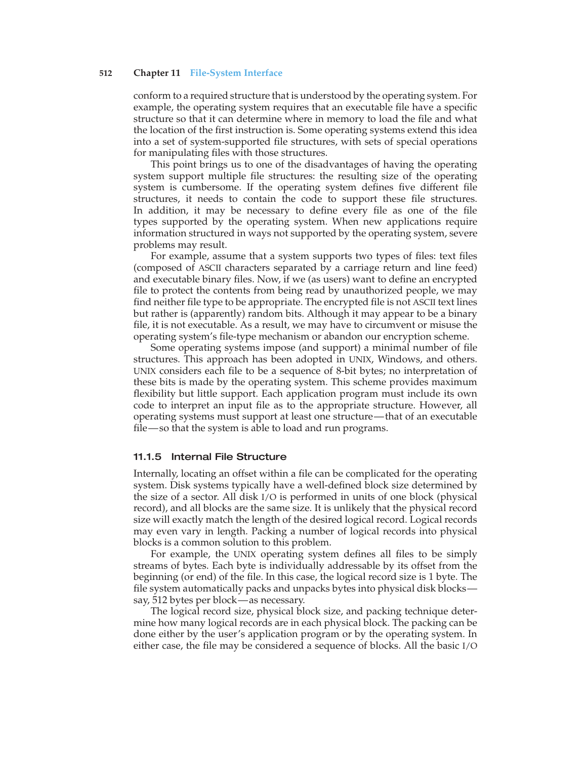conform to a required structure that is understood by the operating system. For example, the operating system requires that an executable file have a specific structure so that it can determine where in memory to load the file and what the location of the first instruction is. Some operating systems extend this idea into a set of system-supported file structures, with sets of special operations for manipulating files with those structures.

This point brings us to one of the disadvantages of having the operating system support multiple file structures: the resulting size of the operating system is cumbersome. If the operating system defines five different file structures, it needs to contain the code to support these file structures. In addition, it may be necessary to define every file as one of the file types supported by the operating system. When new applications require information structured in ways not supported by the operating system, severe problems may result.

For example, assume that a system supports two types of files: text files (composed of ASCII characters separated by a carriage return and line feed) and executable binary files. Now, if we (as users) want to define an encrypted file to protect the contents from being read by unauthorized people, we may find neither file type to be appropriate. The encrypted file is not ASCII text lines but rather is (apparently) random bits. Although it may appear to be a binary file, it is not executable. As a result, we may have to circumvent or misuse the operating system's file-type mechanism or abandon our encryption scheme.

Some operating systems impose (and support) a minimal number of file structures. This approach has been adopted in UNIX, Windows, and others. UNIX considers each file to be a sequence of 8-bit bytes; no interpretation of these bits is made by the operating system. This scheme provides maximum flexibility but little support. Each application program must include its own code to interpret an input file as to the appropriate structure. However, all operating systems must support at least one structure— that of an executable file—so that the system is able to load and run programs.

#### 11.1.5 Internal File Structure

Internally, locating an offset within a file can be complicated for the operating system. Disk systems typically have a well-defined block size determined by the size of a sector. All disk I/O is performed in units of one block (physical record), and all blocks are the same size. It is unlikely that the physical record size will exactly match the length of the desired logical record. Logical records may even vary in length. Packing a number of logical records into physical blocks is a common solution to this problem.

For example, the UNIX operating system defines all files to be simply streams of bytes. Each byte is individually addressable by its offset from the beginning (or end) of the file. In this case, the logical record size is 1 byte. The file system automatically packs and unpacks bytes into physical disk blocks say, 512 bytes per block—as necessary.

The logical record size, physical block size, and packing technique determine how many logical records are in each physical block. The packing can be done either by the user's application program or by the operating system. In either case, the file may be considered a sequence of blocks. All the basic I/O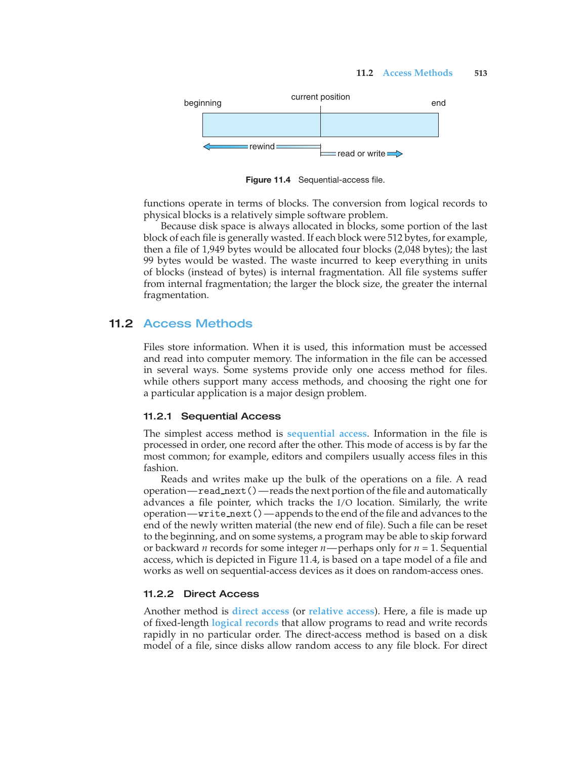

**Figure 11.4** Sequential-access file.

functions operate in terms of blocks. The conversion from logical records to physical blocks is a relatively simple software problem.

Because disk space is always allocated in blocks, some portion of the last block of each file is generally wasted. If each block were 512 bytes, for example, then a file of 1,949 bytes would be allocated four blocks (2,048 bytes); the last 99 bytes would be wasted. The waste incurred to keep everything in units of blocks (instead of bytes) is internal fragmentation. All file systems suffer from internal fragmentation; the larger the block size, the greater the internal fragmentation.

# 11.2 Access Methods

Files store information. When it is used, this information must be accessed and read into computer memory. The information in the file can be accessed in several ways. Some systems provide only one access method for files. while others support many access methods, and choosing the right one for a particular application is a major design problem.

### 11.2.1 Sequential Access

The simplest access method is **sequential access**. Information in the file is processed in order, one record after the other. This mode of access is by far the most common; for example, editors and compilers usually access files in this fashion.

Reads and writes make up the bulk of the operations on a file. A read operation—read\_next()—reads the next portion of the file and automatically advances a file pointer, which tracks the I/O location. Similarly, the write operation—write next()—appends to the end of the file and advances to the end of the newly written material (the new end of file). Such a file can be reset to the beginning, and on some systems, a program may be able to skip forward or backward *n* records for some integer *n*—perhaps only for *n* = 1. Sequential access, which is depicted in Figure 11.4, is based on a tape model of a file and works as well on sequential-access devices as it does on random-access ones.

## 11.2.2 Direct Access

Another method is **direct access** (or **relative access**). Here, a file is made up of fixed-length **logical records** that allow programs to read and write records rapidly in no particular order. The direct-access method is based on a disk model of a file, since disks allow random access to any file block. For direct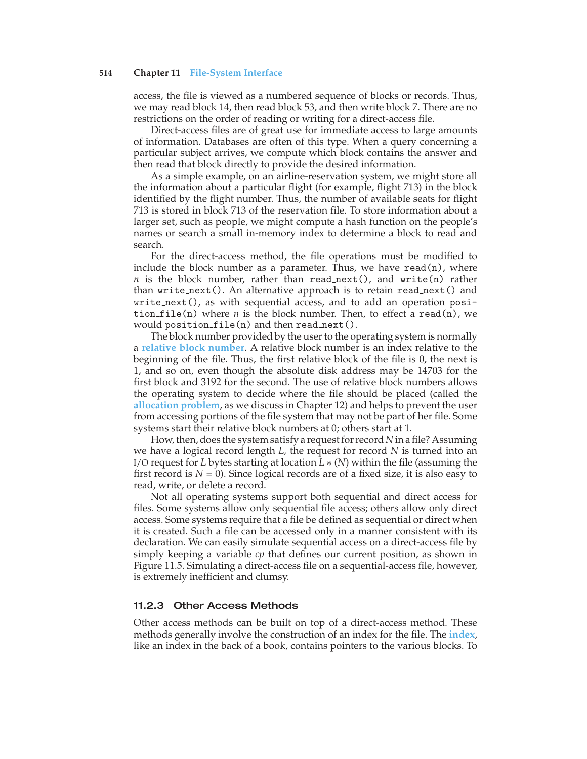access, the file is viewed as a numbered sequence of blocks or records. Thus, we may read block 14, then read block 53, and then write block 7. There are no restrictions on the order of reading or writing for a direct-access file.

Direct-access files are of great use for immediate access to large amounts of information. Databases are often of this type. When a query concerning a particular subject arrives, we compute which block contains the answer and then read that block directly to provide the desired information.

As a simple example, on an airline-reservation system, we might store all the information about a particular flight (for example, flight 713) in the block identified by the flight number. Thus, the number of available seats for flight 713 is stored in block 713 of the reservation file. To store information about a larger set, such as people, we might compute a hash function on the people's names or search a small in-memory index to determine a block to read and search.

For the direct-access method, the file operations must be modified to include the block number as a parameter. Thus, we have  $read(n)$ , where  $n$  is the block number, rather than read\_next(), and write(n) rather than write next(). An alternative approach is to retain read next() and write next(), as with sequential access, and to add an operation position file(n) where *n* is the block number. Then, to effect a read(n), we would position file(n) and then read next().

The block number provided by the user to the operating system is normally a **relative block number**. A relative block number is an index relative to the beginning of the file. Thus, the first relative block of the file is 0, the next is 1, and so on, even though the absolute disk address may be 14703 for the first block and 3192 for the second. The use of relative block numbers allows the operating system to decide where the file should be placed (called the **allocation problem**, as we discuss in Chapter 12) and helps to prevent the user from accessing portions of the file system that may not be part of her file. Some systems start their relative block numbers at 0; others start at 1.

How, then, does the system satisfy a request for record *N* in a file? Assuming we have a logical record length *L,* the request for record *N* is turned into an I/O request for *L* bytes starting at location *L* ∗ (*N*) within the file (assuming the first record is  $N = 0$ ). Since logical records are of a fixed size, it is also easy to read, write, or delete a record.

Not all operating systems support both sequential and direct access for files. Some systems allow only sequential file access; others allow only direct access. Some systems require that a file be defined as sequential or direct when it is created. Such a file can be accessed only in a manner consistent with its declaration. We can easily simulate sequential access on a direct-access file by simply keeping a variable *cp* that defines our current position, as shown in Figure 11.5. Simulating a direct-access file on a sequential-access file, however, is extremely inefficient and clumsy.

# 11.2.3 Other Access Methods

Other access methods can be built on top of a direct-access method. These methods generally involve the construction of an index for the file. The **index**, like an index in the back of a book, contains pointers to the various blocks. To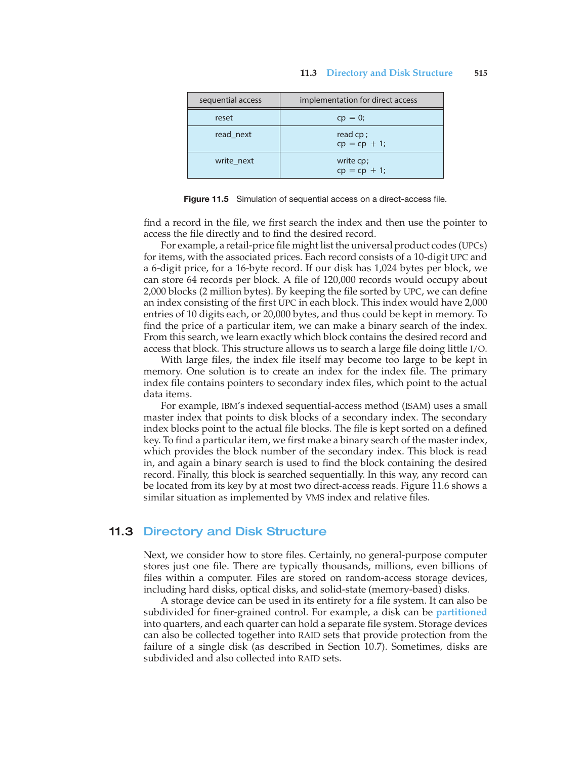| sequential access | implementation for direct access |
|-------------------|----------------------------------|
| reset             | $cp = 0;$                        |
| read next         | read cp;<br>$cp = cp + 1;$       |
| write next        | write cp;<br>$cp = cp + 1;$      |

**Figure 11.5** Simulation of sequential access on a direct-access file.

find a record in the file, we first search the index and then use the pointer to access the file directly and to find the desired record.

For example, a retail-price file might list the universal product codes (UPCs) for items, with the associated prices. Each record consists of a 10-digit UPC and a 6-digit price, for a 16-byte record. If our disk has 1,024 bytes per block, we can store 64 records per block. A file of 120,000 records would occupy about 2,000 blocks (2 million bytes). By keeping the file sorted by UPC, we can define an index consisting of the first UPC in each block. This index would have 2,000 entries of 10 digits each, or 20,000 bytes, and thus could be kept in memory. To find the price of a particular item, we can make a binary search of the index. From this search, we learn exactly which block contains the desired record and access that block. This structure allows us to search a large file doing little I/O.

With large files, the index file itself may become too large to be kept in memory. One solution is to create an index for the index file. The primary index file contains pointers to secondary index files, which point to the actual data items.

For example, IBM's indexed sequential-access method (ISAM) uses a small master index that points to disk blocks of a secondary index. The secondary index blocks point to the actual file blocks. The file is kept sorted on a defined key. To find a particular item, we first make a binary search of the master index, which provides the block number of the secondary index. This block is read in, and again a binary search is used to find the block containing the desired record. Finally, this block is searched sequentially. In this way, any record can be located from its key by at most two direct-access reads. Figure 11.6 shows a similar situation as implemented by VMS index and relative files.

# 11.3 Directory and Disk Structure

Next, we consider how to store files. Certainly, no general-purpose computer stores just one file. There are typically thousands, millions, even billions of files within a computer. Files are stored on random-access storage devices, including hard disks, optical disks, and solid-state (memory-based) disks.

A storage device can be used in its entirety for a file system. It can also be subdivided for finer-grained control. For example, a disk can be **partitioned** into quarters, and each quarter can hold a separate file system. Storage devices can also be collected together into RAID sets that provide protection from the failure of a single disk (as described in Section 10.7). Sometimes, disks are subdivided and also collected into RAID sets.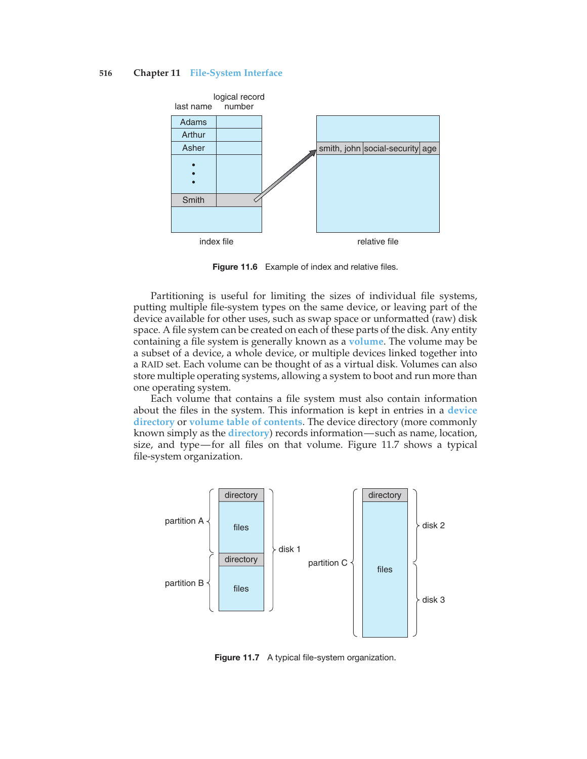

**Figure 11.6** Example of index and relative files.

Partitioning is useful for limiting the sizes of individual file systems, putting multiple file-system types on the same device, or leaving part of the device available for other uses, such as swap space or unformatted (raw) disk space. A file system can be created on each of these parts of the disk. Any entity containing a file system is generally known as a **volume**. The volume may be a subset of a device, a whole device, or multiple devices linked together into a RAID set. Each volume can be thought of as a virtual disk. Volumes can also store multiple operating systems, allowing a system to boot and run more than one operating system.

Each volume that contains a file system must also contain information about the files in the system. This information is kept in entries in a **device directory** or **volume table of contents**. The device directory (more commonly known simply as the **directory**) records information—such as name, location, size, and type— for all files on that volume. Figure 11.7 shows a typical file-system organization.



**Figure 11.7** A typical file-system organization.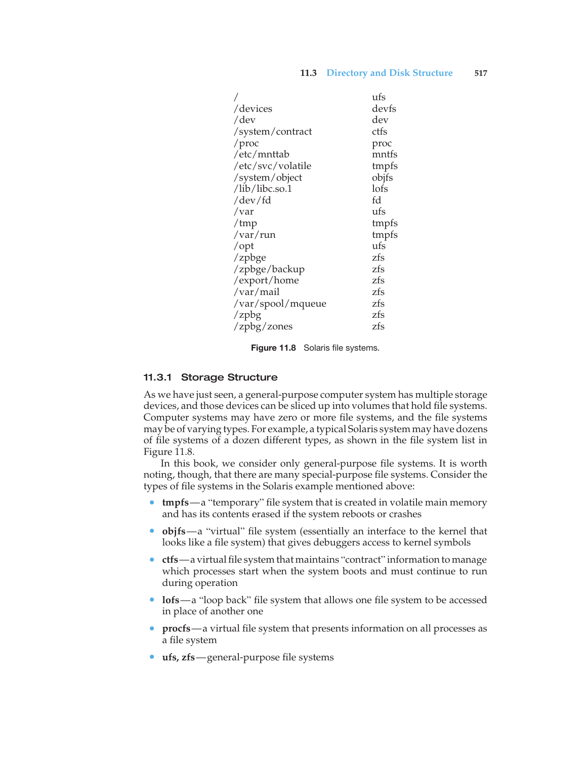#### **11.3 Directory and Disk Structure 517**

|                                       | ufs   |
|---------------------------------------|-------|
| /devices                              | devfs |
| /dev                                  | dev   |
| /system/contract                      | ctfs  |
| $/$ proc                              | proc  |
| /etc/mnttab                           | mntfs |
| /etc/svc/volatile                     | tmpfs |
| /system/object                        | objfs |
| $\frac{\text{lib}}{\text{lib}}$ .so.1 | lofs  |
| /dev/fd                               | fd    |
| /var                                  | ufs   |
| /tmp                                  | tmpfs |
| /var/run                              | tmpfs |
| $\sqrt{opt}$                          | ufs   |
| /zpbge                                | zfs   |
| /zpbge/backup                         | zfs   |
| /export/home                          | zfs   |
| /var/mail                             | zfs   |
| /var/spool/mqueue                     | zfs   |
| /zpbg                                 | zfs   |
| /zpbg/zones                           | zfs   |

**Figure 11.8** Solaris file systems.

## 11.3.1 Storage Structure

As we have just seen, a general-purpose computer system has multiple storage devices, and those devices can be sliced up into volumes that hold file systems. Computer systems may have zero or more file systems, and the file systems may be of varying types. For example, a typical Solaris system may have dozens of file systems of a dozen different types, as shown in the file system list in Figure 11.8.

In this book, we consider only general-purpose file systems. It is worth noting, though, that there are many special-purpose file systems. Consider the types of file systems in the Solaris example mentioned above:

- **tmpfs—a** "temporary" file system that is created in volatile main memory and has its contents erased if the system reboots or crashes
- **objfs**—a "virtual" file system (essentially an interface to the kernel that looks like a file system) that gives debuggers access to kernel symbols
- **ctfs**—a virtual file system that maintains "contract" information to manage which processes start when the system boots and must continue to run during operation
- **lofs**—a "loop back" file system that allows one file system to be accessed in place of another one
- **procfs**—a virtual file system that presents information on all processes as a file system
- **ufs, zfs**—general-purpose file systems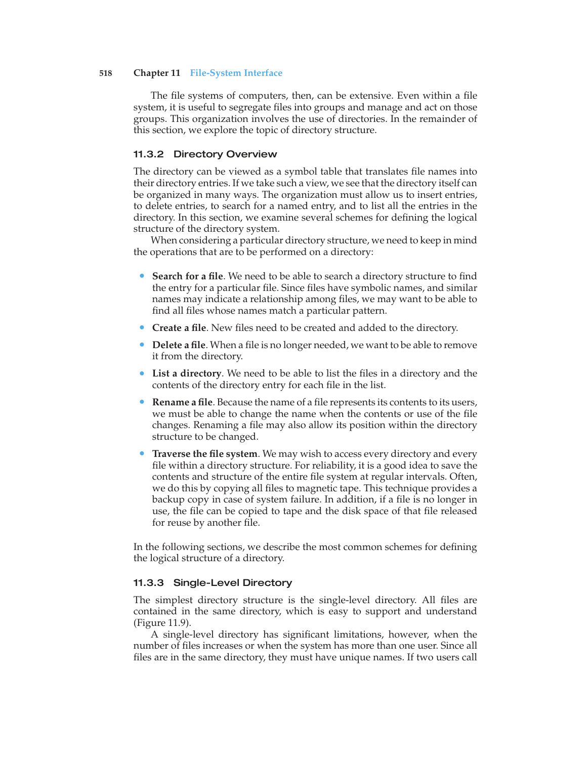The file systems of computers, then, can be extensive. Even within a file system, it is useful to segregate files into groups and manage and act on those groups. This organization involves the use of directories. In the remainder of this section, we explore the topic of directory structure.

## 11.3.2 Directory Overview

The directory can be viewed as a symbol table that translates file names into their directory entries. If we take such a view, we see that the directory itself can be organized in many ways. The organization must allow us to insert entries, to delete entries, to search for a named entry, and to list all the entries in the directory. In this section, we examine several schemes for defining the logical structure of the directory system.

When considering a particular directory structure, we need to keep in mind the operations that are to be performed on a directory:

- **Search for a file**. We need to be able to search a directory structure to find the entry for a particular file. Since files have symbolic names, and similar names may indicate a relationship among files, we may want to be able to find all files whose names match a particular pattern.
- **Create a file**. New files need to be created and added to the directory.
- **Delete a file**. When a file is no longer needed, we want to be able to remove it from the directory.
- List a directory. We need to be able to list the files in a directory and the contents of the directory entry for each file in the list.
- **Rename a file**. Because the name of a file represents its contents to its users, we must be able to change the name when the contents or use of the file changes. Renaming a file may also allow its position within the directory structure to be changed.
- **Traverse the file system**. We may wish to access every directory and every file within a directory structure. For reliability, it is a good idea to save the contents and structure of the entire file system at regular intervals. Often, we do this by copying all files to magnetic tape. This technique provides a backup copy in case of system failure. In addition, if a file is no longer in use, the file can be copied to tape and the disk space of that file released for reuse by another file.

In the following sections, we describe the most common schemes for defining the logical structure of a directory.

# 11.3.3 Single-Level Directory

The simplest directory structure is the single-level directory. All files are contained in the same directory, which is easy to support and understand (Figure 11.9).

A single-level directory has significant limitations, however, when the number of files increases or when the system has more than one user. Since all files are in the same directory, they must have unique names. If two users call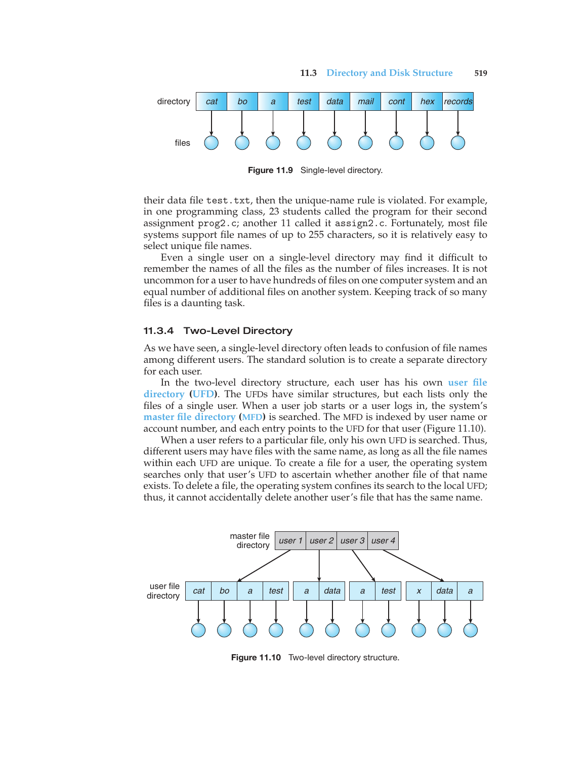

Figure 11.9 Single-level directory.

their data file test.txt, then the unique-name rule is violated. For example, in one programming class, 23 students called the program for their second assignment prog2.c; another 11 called it assign2.c. Fortunately, most file systems support file names of up to 255 characters, so it is relatively easy to select unique file names.

Even a single user on a single-level directory may find it difficult to remember the names of all the files as the number of files increases. It is not uncommon for a user to have hundreds of files on one computer system and an equal number of additional files on another system. Keeping track of so many files is a daunting task.

#### 11.3.4 Two-Level Directory

As we have seen, a single-level directory often leads to confusion of file names among different users. The standard solution is to create a separate directory for each user.

In the two-level directory structure, each user has his own **user file directory (UFD)**. The UFDs have similar structures, but each lists only the files of a single user. When a user job starts or a user logs in, the system's **master file directory (MFD)** is searched. The MFD is indexed by user name or account number, and each entry points to the UFD for that user (Figure 11.10).

When a user refers to a particular file, only his own UFD is searched. Thus, different users may have files with the same name, as long as all the file names within each UFD are unique. To create a file for a user, the operating system searches only that user's UFD to ascertain whether another file of that name exists. To delete a file, the operating system confines its search to the local UFD; thus, it cannot accidentally delete another user's file that has the same name.



**Figure 11.10** Two-level directory structure.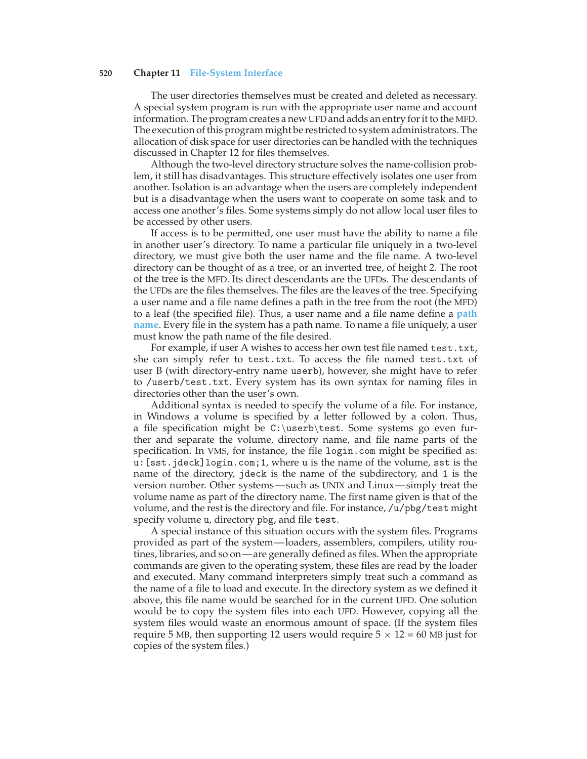The user directories themselves must be created and deleted as necessary. A special system program is run with the appropriate user name and account information. The program creates a new UFD and adds an entry for it to the MFD. The execution of this program might be restricted to system administrators. The allocation of disk space for user directories can be handled with the techniques discussed in Chapter 12 for files themselves.

Although the two-level directory structure solves the name-collision problem, it still has disadvantages. This structure effectively isolates one user from another. Isolation is an advantage when the users are completely independent but is a disadvantage when the users want to cooperate on some task and to access one another's files. Some systems simply do not allow local user files to be accessed by other users.

If access is to be permitted, one user must have the ability to name a file in another user's directory. To name a particular file uniquely in a two-level directory, we must give both the user name and the file name. A two-level directory can be thought of as a tree, or an inverted tree, of height 2. The root of the tree is the MFD. Its direct descendants are the UFDs. The descendants of the UFDs are the files themselves. The files are the leaves of the tree. Specifying a user name and a file name defines a path in the tree from the root (the MFD) to a leaf (the specified file). Thus, a user name and a file name define a **path name**. Every file in the system has a path name. To name a file uniquely, a user must know the path name of the file desired.

For example, if user A wishes to access her own test file named test.txt, she can simply refer to test.txt. To access the file named test.txt of user B (with directory-entry name userb), however, she might have to refer to /userb/test.txt. Every system has its own syntax for naming files in directories other than the user's own.

Additional syntax is needed to specify the volume of a file. For instance, in Windows a volume is specified by a letter followed by a colon. Thus, a file specification might be C:\userb\test. Some systems go even further and separate the volume, directory name, and file name parts of the specification. In VMS, for instance, the file login.com might be specified as: u:[sst.jdeck]login.com;1, where u is the name of the volume, sst is the name of the directory, jdeck is the name of the subdirectory, and 1 is the version number. Other systems—such as UNIX and Linux—simply treat the volume name as part of the directory name. The first name given is that of the volume, and the rest is the directory and file. For instance, /u/pbg/test might specify volume u, directory pbg, and file test.

A special instance of this situation occurs with the system files. Programs provided as part of the system—loaders, assemblers, compilers, utility routines, libraries, and so on—are generally defined as files. When the appropriate commands are given to the operating system, these files are read by the loader and executed. Many command interpreters simply treat such a command as the name of a file to load and execute. In the directory system as we defined it above, this file name would be searched for in the current UFD. One solution would be to copy the system files into each UFD. However, copying all the system files would waste an enormous amount of space. (If the system files require 5 MB, then supporting 12 users would require  $5 \times 12 = 60$  MB just for copies of the system files.)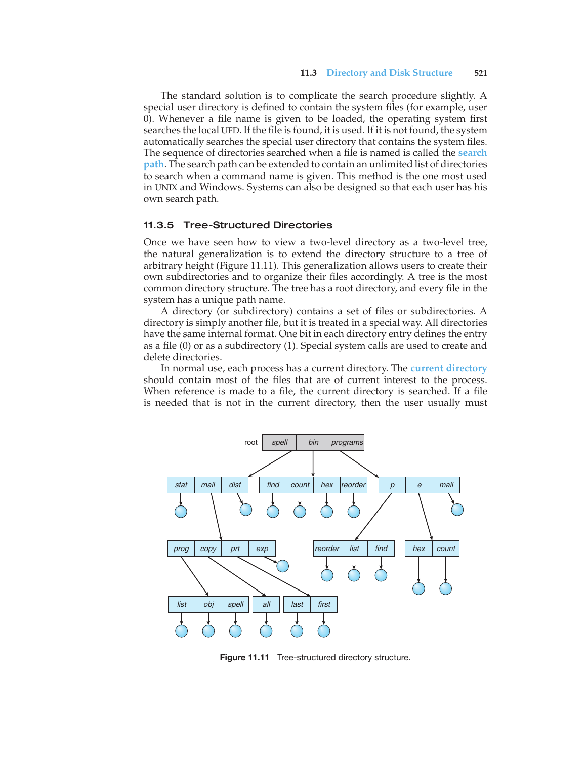The standard solution is to complicate the search procedure slightly. A special user directory is defined to contain the system files (for example, user 0). Whenever a file name is given to be loaded, the operating system first searches the local UFD. If the file is found, it is used. If it is not found, the system automatically searches the special user directory that contains the system files. The sequence of directories searched when a file is named is called the **search path**. The search path can be extended to contain an unlimited list of directories to search when a command name is given. This method is the one most used in UNIX and Windows. Systems can also be designed so that each user has his own search path.

#### 11.3.5 Tree-Structured Directories

Once we have seen how to view a two-level directory as a two-level tree, the natural generalization is to extend the directory structure to a tree of arbitrary height (Figure 11.11). This generalization allows users to create their own subdirectories and to organize their files accordingly. A tree is the most common directory structure. The tree has a root directory, and every file in the system has a unique path name.

A directory (or subdirectory) contains a set of files or subdirectories. A directory is simply another file, but it is treated in a special way. All directories have the same internal format. One bit in each directory entry defines the entry as a file (0) or as a subdirectory (1). Special system calls are used to create and delete directories.

In normal use, each process has a current directory. The **current directory** should contain most of the files that are of current interest to the process. When reference is made to a file, the current directory is searched. If a file is needed that is not in the current directory, then the user usually must



**Figure 11.11** Tree-structured directory structure.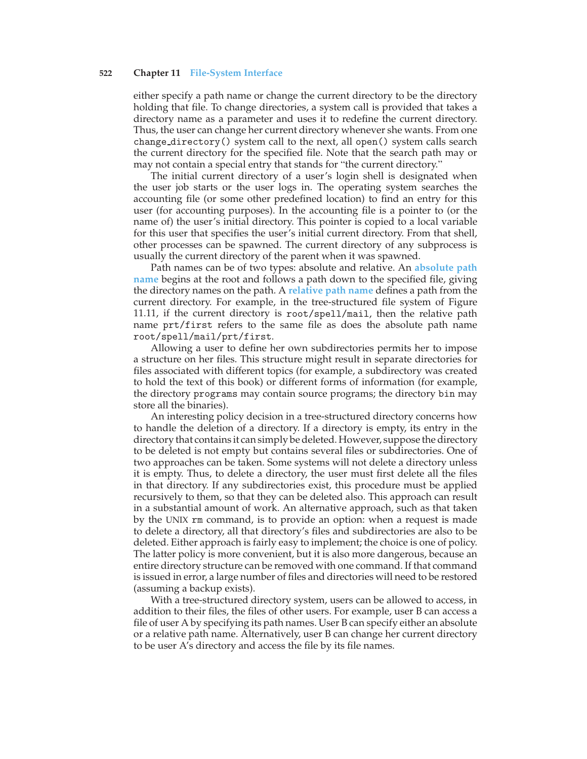either specify a path name or change the current directory to be the directory holding that file. To change directories, a system call is provided that takes a directory name as a parameter and uses it to redefine the current directory. Thus, the user can change her current directory whenever she wants. From one change directory() system call to the next, all open() system calls search the current directory for the specified file. Note that the search path may or may not contain a special entry that stands for "the current directory."

The initial current directory of a user's login shell is designated when the user job starts or the user logs in. The operating system searches the accounting file (or some other predefined location) to find an entry for this user (for accounting purposes). In the accounting file is a pointer to (or the name of) the user's initial directory. This pointer is copied to a local variable for this user that specifies the user's initial current directory. From that shell, other processes can be spawned. The current directory of any subprocess is usually the current directory of the parent when it was spawned.

Path names can be of two types: absolute and relative. An **absolute path name** begins at the root and follows a path down to the specified file, giving the directory names on the path. A **relative path name** defines a path from the current directory. For example, in the tree-structured file system of Figure 11.11, if the current directory is root/spell/mail, then the relative path name prt/first refers to the same file as does the absolute path name root/spell/mail/prt/first.

Allowing a user to define her own subdirectories permits her to impose a structure on her files. This structure might result in separate directories for files associated with different topics (for example, a subdirectory was created to hold the text of this book) or different forms of information (for example, the directory programs may contain source programs; the directory bin may store all the binaries).

An interesting policy decision in a tree-structured directory concerns how to handle the deletion of a directory. If a directory is empty, its entry in the directory that contains it can simply be deleted. However, suppose the directory to be deleted is not empty but contains several files or subdirectories. One of two approaches can be taken. Some systems will not delete a directory unless it is empty. Thus, to delete a directory, the user must first delete all the files in that directory. If any subdirectories exist, this procedure must be applied recursively to them, so that they can be deleted also. This approach can result in a substantial amount of work. An alternative approach, such as that taken by the UNIX rm command, is to provide an option: when a request is made to delete a directory, all that directory's files and subdirectories are also to be deleted. Either approach is fairly easy to implement; the choice is one of policy. The latter policy is more convenient, but it is also more dangerous, because an entire directory structure can be removed with one command. If that command is issued in error, a large number of files and directories will need to be restored (assuming a backup exists).

With a tree-structured directory system, users can be allowed to access, in addition to their files, the files of other users. For example, user B can access a file of user A by specifying its path names. User B can specify either an absolute or a relative path name. Alternatively, user B can change her current directory to be user A's directory and access the file by its file names.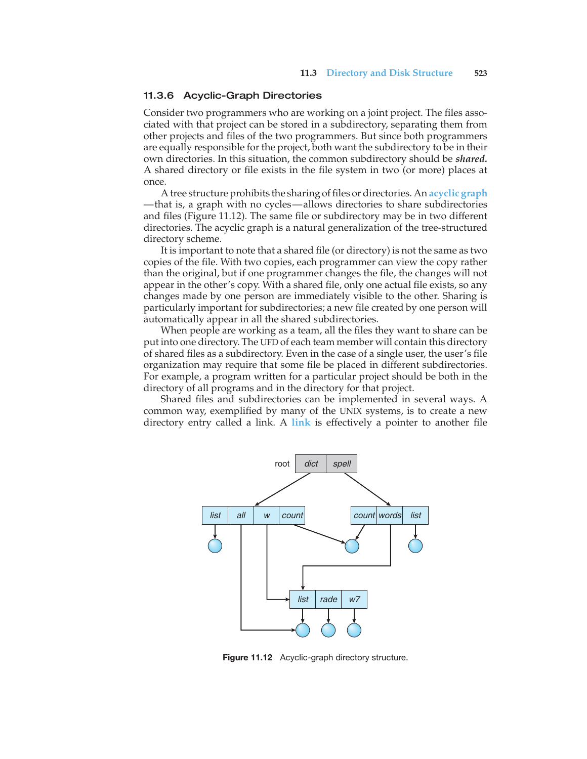#### 11.3.6 Acyclic-Graph Directories

Consider two programmers who are working on a joint project. The files associated with that project can be stored in a subdirectory, separating them from other projects and files of the two programmers. But since both programmers are equally responsible for the project, both want the subdirectory to be in their own directories. In this situation, the common subdirectory should be *shared.* A shared directory or file exists in the file system in two (or more) places at once.

A tree structure prohibits the sharing of files or directories. An **acyclic graph** — that is, a graph with no cycles—allows directories to share subdirectories and files (Figure 11.12). The same file or subdirectory may be in two different directories. The acyclic graph is a natural generalization of the tree-structured directory scheme.

It is important to note that a shared file (or directory) is not the same as two copies of the file. With two copies, each programmer can view the copy rather than the original, but if one programmer changes the file, the changes will not appear in the other's copy. With a shared file, only one actual file exists, so any changes made by one person are immediately visible to the other. Sharing is particularly important for subdirectories; a new file created by one person will automatically appear in all the shared subdirectories.

When people are working as a team, all the files they want to share can be put into one directory. The UFD of each team member will contain this directory of shared files as a subdirectory. Even in the case of a single user, the user's file organization may require that some file be placed in different subdirectories. For example, a program written for a particular project should be both in the directory of all programs and in the directory for that project.

Shared files and subdirectories can be implemented in several ways. A common way, exemplified by many of the UNIX systems, is to create a new directory entry called a link. A **link** is effectively a pointer to another file



**Figure 11.12** Acyclic-graph directory structure.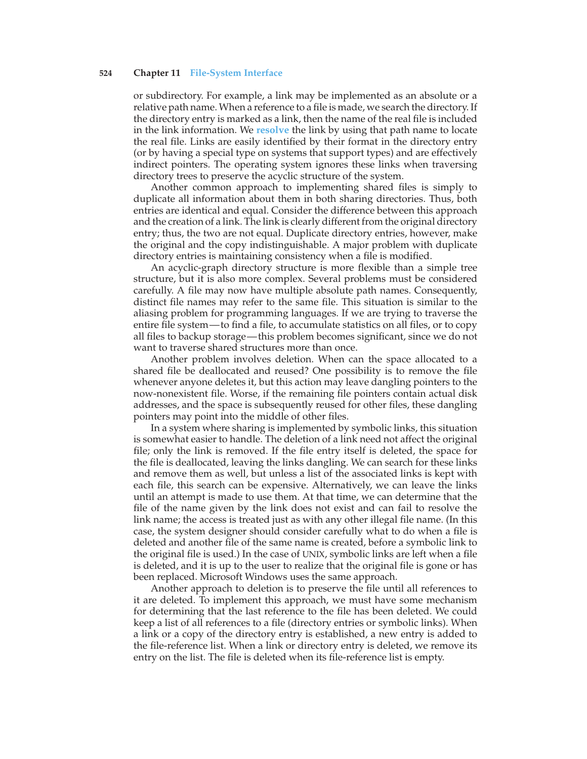or subdirectory. For example, a link may be implemented as an absolute or a relative path name. When a reference to a file is made, we search the directory. If the directory entry is marked as a link, then the name of the real file is included in the link information. We **resolve** the link by using that path name to locate the real file. Links are easily identified by their format in the directory entry (or by having a special type on systems that support types) and are effectively indirect pointers. The operating system ignores these links when traversing directory trees to preserve the acyclic structure of the system.

Another common approach to implementing shared files is simply to duplicate all information about them in both sharing directories. Thus, both entries are identical and equal. Consider the difference between this approach and the creation of a link. The link is clearly different from the original directory entry; thus, the two are not equal. Duplicate directory entries, however, make the original and the copy indistinguishable. A major problem with duplicate directory entries is maintaining consistency when a file is modified.

An acyclic-graph directory structure is more flexible than a simple tree structure, but it is also more complex. Several problems must be considered carefully. A file may now have multiple absolute path names. Consequently, distinct file names may refer to the same file. This situation is similar to the aliasing problem for programming languages. If we are trying to traverse the entire file system— to find a file, to accumulate statistics on all files, or to copy all files to backup storage— this problem becomes significant, since we do not want to traverse shared structures more than once.

Another problem involves deletion. When can the space allocated to a shared file be deallocated and reused? One possibility is to remove the file whenever anyone deletes it, but this action may leave dangling pointers to the now-nonexistent file. Worse, if the remaining file pointers contain actual disk addresses, and the space is subsequently reused for other files, these dangling pointers may point into the middle of other files.

In a system where sharing is implemented by symbolic links, this situation is somewhat easier to handle. The deletion of a link need not affect the original file; only the link is removed. If the file entry itself is deleted, the space for the file is deallocated, leaving the links dangling. We can search for these links and remove them as well, but unless a list of the associated links is kept with each file, this search can be expensive. Alternatively, we can leave the links until an attempt is made to use them. At that time, we can determine that the file of the name given by the link does not exist and can fail to resolve the link name; the access is treated just as with any other illegal file name. (In this case, the system designer should consider carefully what to do when a file is deleted and another file of the same name is created, before a symbolic link to the original file is used.) In the case of UNIX, symbolic links are left when a file is deleted, and it is up to the user to realize that the original file is gone or has been replaced. Microsoft Windows uses the same approach.

Another approach to deletion is to preserve the file until all references to it are deleted. To implement this approach, we must have some mechanism for determining that the last reference to the file has been deleted. We could keep a list of all references to a file (directory entries or symbolic links). When a link or a copy of the directory entry is established, a new entry is added to the file-reference list. When a link or directory entry is deleted, we remove its entry on the list. The file is deleted when its file-reference list is empty.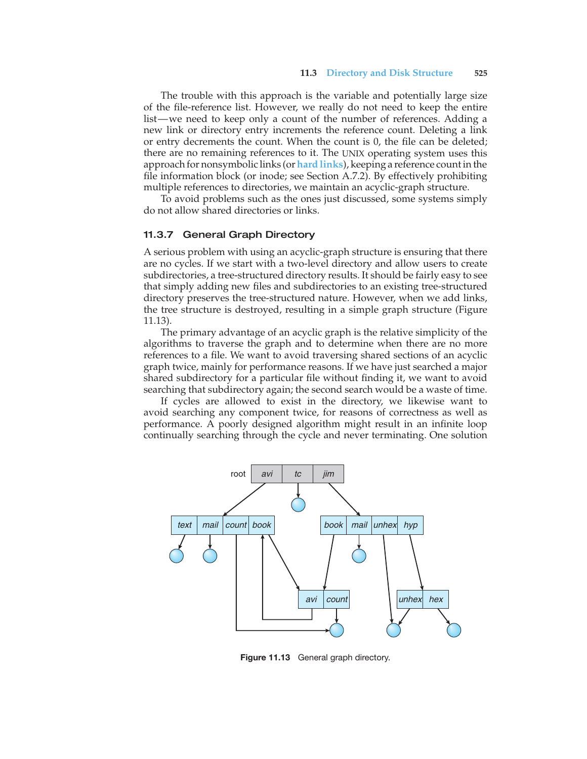The trouble with this approach is the variable and potentially large size of the file-reference list. However, we really do not need to keep the entire list—we need to keep only a count of the number of references. Adding a new link or directory entry increments the reference count. Deleting a link or entry decrements the count. When the count is 0, the file can be deleted; there are no remaining references to it. The UNIX operating system uses this approach for nonsymbolic links (or **hard links**), keeping a reference count in the file information block (or inode; see Section A.7.2). By effectively prohibiting multiple references to directories, we maintain an acyclic-graph structure.

To avoid problems such as the ones just discussed, some systems simply do not allow shared directories or links.

#### 11.3.7 General Graph Directory

A serious problem with using an acyclic-graph structure is ensuring that there are no cycles. If we start with a two-level directory and allow users to create subdirectories, a tree-structured directory results. It should be fairly easy to see that simply adding new files and subdirectories to an existing tree-structured directory preserves the tree-structured nature. However, when we add links, the tree structure is destroyed, resulting in a simple graph structure (Figure 11.13).

The primary advantage of an acyclic graph is the relative simplicity of the algorithms to traverse the graph and to determine when there are no more references to a file. We want to avoid traversing shared sections of an acyclic graph twice, mainly for performance reasons. If we have just searched a major shared subdirectory for a particular file without finding it, we want to avoid searching that subdirectory again; the second search would be a waste of time.

If cycles are allowed to exist in the directory, we likewise want to avoid searching any component twice, for reasons of correctness as well as performance. A poorly designed algorithm might result in an infinite loop continually searching through the cycle and never terminating. One solution



**Figure 11.13** General graph directory.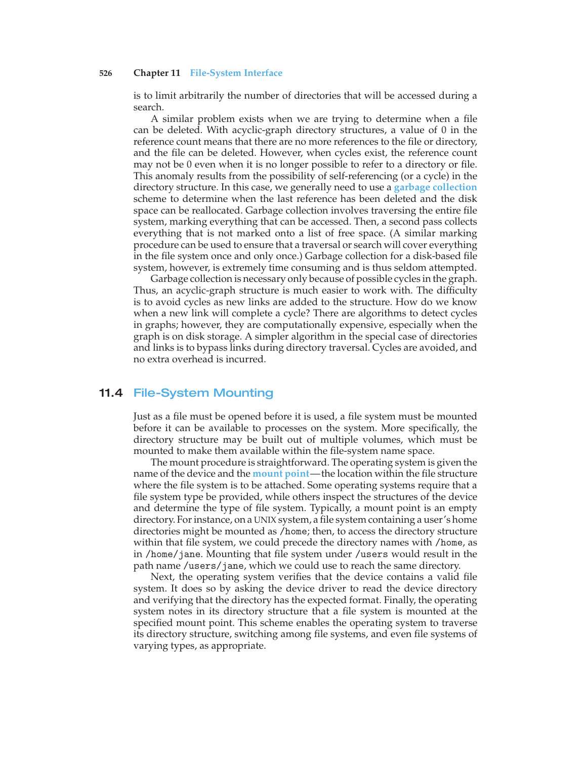is to limit arbitrarily the number of directories that will be accessed during a search.

A similar problem exists when we are trying to determine when a file can be deleted. With acyclic-graph directory structures, a value of 0 in the reference count means that there are no more references to the file or directory, and the file can be deleted. However, when cycles exist, the reference count may not be 0 even when it is no longer possible to refer to a directory or file. This anomaly results from the possibility of self-referencing (or a cycle) in the directory structure. In this case, we generally need to use a **garbage collection** scheme to determine when the last reference has been deleted and the disk space can be reallocated. Garbage collection involves traversing the entire file system, marking everything that can be accessed. Then, a second pass collects everything that is not marked onto a list of free space. (A similar marking procedure can be used to ensure that a traversal or search will cover everything in the file system once and only once.) Garbage collection for a disk-based file system, however, is extremely time consuming and is thus seldom attempted.

Garbage collection is necessary only because of possible cycles in the graph. Thus, an acyclic-graph structure is much easier to work with. The difficulty is to avoid cycles as new links are added to the structure. How do we know when a new link will complete a cycle? There are algorithms to detect cycles in graphs; however, they are computationally expensive, especially when the graph is on disk storage. A simpler algorithm in the special case of directories and links is to bypass links during directory traversal. Cycles are avoided, and no extra overhead is incurred.

# 11.4 File-System Mounting

Just as a file must be opened before it is used, a file system must be mounted before it can be available to processes on the system. More specifically, the directory structure may be built out of multiple volumes, which must be mounted to make them available within the file-system name space.

The mount procedure is straightforward. The operating system is given the name of the device and the **mount point**— the location within the file structure where the file system is to be attached. Some operating systems require that a file system type be provided, while others inspect the structures of the device and determine the type of file system. Typically, a mount point is an empty directory. For instance, on a UNIX system, a file system containing a user's home directories might be mounted as /home; then, to access the directory structure within that file system, we could precede the directory names with /home, as in /home/jane. Mounting that file system under /users would result in the path name /users/jane, which we could use to reach the same directory.

Next, the operating system verifies that the device contains a valid file system. It does so by asking the device driver to read the device directory and verifying that the directory has the expected format. Finally, the operating system notes in its directory structure that a file system is mounted at the specified mount point. This scheme enables the operating system to traverse its directory structure, switching among file systems, and even file systems of varying types, as appropriate.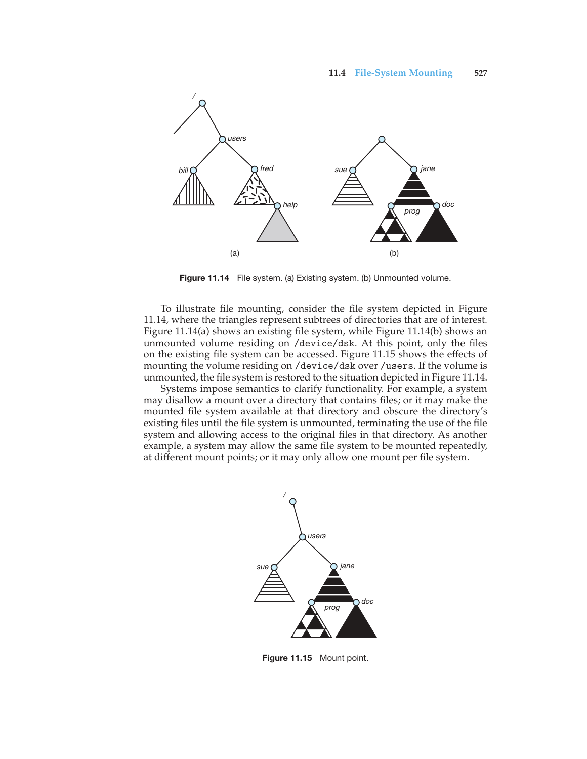

**Figure 11.14** File system. (a) Existing system. (b) Unmounted volume.

To illustrate file mounting, consider the file system depicted in Figure 11.14, where the triangles represent subtrees of directories that are of interest. Figure 11.14(a) shows an existing file system, while Figure 11.14(b) shows an unmounted volume residing on /device/dsk. At this point, only the files on the existing file system can be accessed. Figure 11.15 shows the effects of mounting the volume residing on /device/dsk over /users. If the volume is unmounted, the file system is restored to the situation depicted in Figure 11.14.

Systems impose semantics to clarify functionality. For example, a system may disallow a mount over a directory that contains files; or it may make the mounted file system available at that directory and obscure the directory's existing files until the file system is unmounted, terminating the use of the file system and allowing access to the original files in that directory. As another example, a system may allow the same file system to be mounted repeatedly, at different mount points; or it may only allow one mount per file system.



**Figure 11.15** Mount point.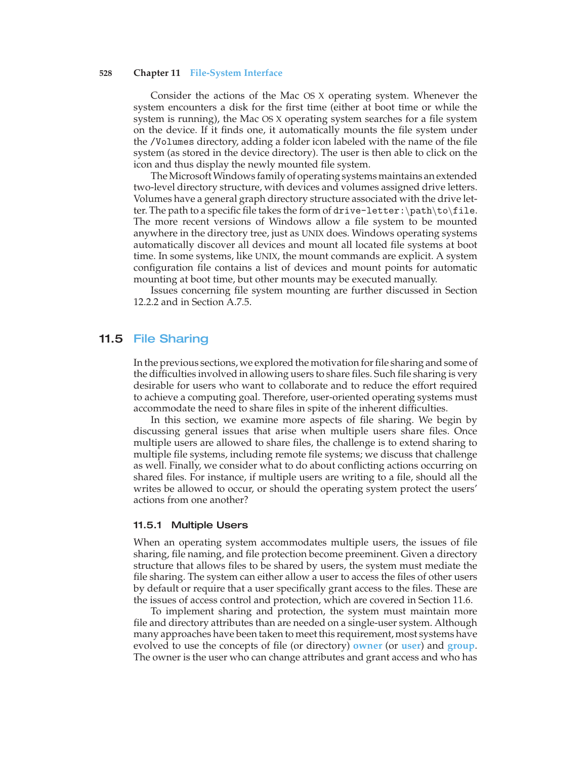Consider the actions of the Mac OS X operating system. Whenever the system encounters a disk for the first time (either at boot time or while the system is running), the Mac OS X operating system searches for a file system on the device. If it finds one, it automatically mounts the file system under the /Volumes directory, adding a folder icon labeled with the name of the file system (as stored in the device directory). The user is then able to click on the icon and thus display the newly mounted file system.

The Microsoft Windows family of operating systems maintains an extended two-level directory structure, with devices and volumes assigned drive letters. Volumes have a general graph directory structure associated with the drive letter. The path to a specific file takes the form of drive-letter: \path\to\file. The more recent versions of Windows allow a file system to be mounted anywhere in the directory tree, just as UNIX does. Windows operating systems automatically discover all devices and mount all located file systems at boot time. In some systems, like UNIX, the mount commands are explicit. A system configuration file contains a list of devices and mount points for automatic mounting at boot time, but other mounts may be executed manually.

Issues concerning file system mounting are further discussed in Section 12.2.2 and in Section A.7.5.

# 11.5 File Sharing

In the previous sections, we explored the motivation for file sharing and some of the difficulties involved in allowing users to share files. Such file sharing is very desirable for users who want to collaborate and to reduce the effort required to achieve a computing goal. Therefore, user-oriented operating systems must accommodate the need to share files in spite of the inherent difficulties.

In this section, we examine more aspects of file sharing. We begin by discussing general issues that arise when multiple users share files. Once multiple users are allowed to share files, the challenge is to extend sharing to multiple file systems, including remote file systems; we discuss that challenge as well. Finally, we consider what to do about conflicting actions occurring on shared files. For instance, if multiple users are writing to a file, should all the writes be allowed to occur, or should the operating system protect the users' actions from one another?

#### 11.5.1 Multiple Users

When an operating system accommodates multiple users, the issues of file sharing, file naming, and file protection become preeminent. Given a directory structure that allows files to be shared by users, the system must mediate the file sharing. The system can either allow a user to access the files of other users by default or require that a user specifically grant access to the files. These are the issues of access control and protection, which are covered in Section 11.6.

To implement sharing and protection, the system must maintain more file and directory attributes than are needed on a single-user system. Although many approaches have been taken to meet this requirement, most systems have evolved to use the concepts of file (or directory) **owner** (or **user**) and **group**. The owner is the user who can change attributes and grant access and who has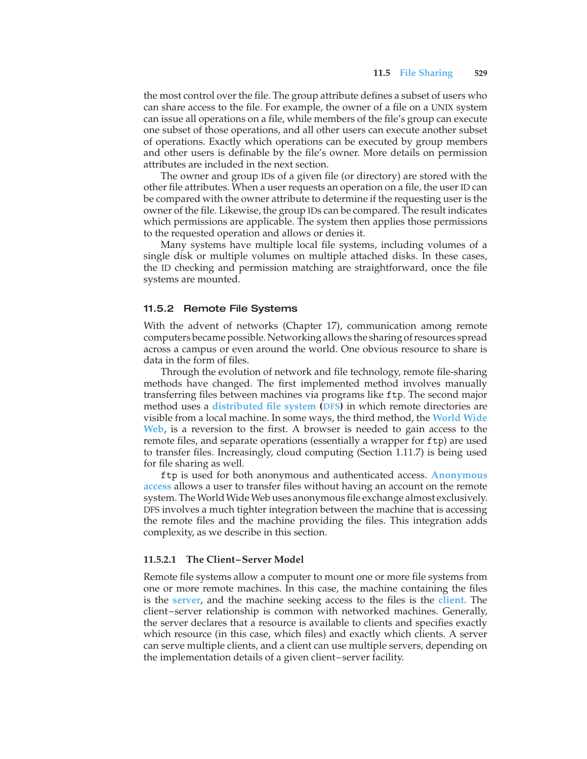the most control over the file. The group attribute defines a subset of users who can share access to the file. For example, the owner of a file on a UNIX system can issue all operations on a file, while members of the file's group can execute one subset of those operations, and all other users can execute another subset of operations. Exactly which operations can be executed by group members and other users is definable by the file's owner. More details on permission attributes are included in the next section.

The owner and group IDs of a given file (or directory) are stored with the other file attributes. When a user requests an operation on a file, the userID can be compared with the owner attribute to determine if the requesting user is the owner of the file. Likewise, the group IDs can be compared. The result indicates which permissions are applicable. The system then applies those permissions to the requested operation and allows or denies it.

Many systems have multiple local file systems, including volumes of a single disk or multiple volumes on multiple attached disks. In these cases, the ID checking and permission matching are straightforward, once the file systems are mounted.

#### 11.5.2 Remote File Systems

With the advent of networks (Chapter 17), communication among remote computers became possible. Networking allows the sharing of resources spread across a campus or even around the world. One obvious resource to share is data in the form of files.

Through the evolution of network and file technology, remote file-sharing methods have changed. The first implemented method involves manually transferring files between machines via programs like ftp. The second major method uses a **distributed file system (DFS)** in which remote directories are visible from a local machine. In some ways, the third method, the **World Wide Web**, is a reversion to the first. A browser is needed to gain access to the remote files, and separate operations (essentially a wrapper for ftp) are used to transfer files. Increasingly, cloud computing (Section 1.11.7) is being used for file sharing as well.

ftp is used for both anonymous and authenticated access. **Anonymous access** allows a user to transfer files without having an account on the remote system. The World Wide Web uses anonymous file exchange almost exclusively. DFS involves a much tighter integration between the machine that is accessing the remote files and the machine providing the files. This integration adds complexity, as we describe in this section.

## **11.5.2.1 The Client–Server Model**

Remote file systems allow a computer to mount one or more file systems from one or more remote machines. In this case, the machine containing the files is the **server**, and the machine seeking access to the files is the **client**. The client–server relationship is common with networked machines. Generally, the server declares that a resource is available to clients and specifies exactly which resource (in this case, which files) and exactly which clients. A server can serve multiple clients, and a client can use multiple servers, depending on the implementation details of a given client–server facility.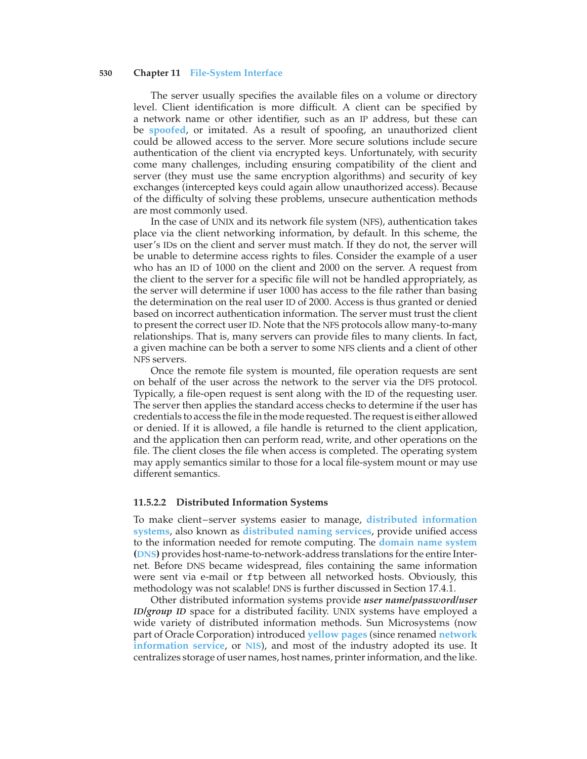The server usually specifies the available files on a volume or directory level. Client identification is more difficult. A client can be specified by a network name or other identifier, such as an IP address, but these can be **spoofed**, or imitated. As a result of spoofing, an unauthorized client could be allowed access to the server. More secure solutions include secure authentication of the client via encrypted keys. Unfortunately, with security come many challenges, including ensuring compatibility of the client and server (they must use the same encryption algorithms) and security of key exchanges (intercepted keys could again allow unauthorized access). Because of the difficulty of solving these problems, unsecure authentication methods are most commonly used.

In the case of UNIX and its network file system (NFS), authentication takes place via the client networking information, by default. In this scheme, the user's IDs on the client and server must match. If they do not, the server will be unable to determine access rights to files. Consider the example of a user who has an ID of 1000 on the client and 2000 on the server. A request from the client to the server for a specific file will not be handled appropriately, as the server will determine if user 1000 has access to the file rather than basing the determination on the real user ID of 2000. Access is thus granted or denied based on incorrect authentication information. The server must trust the client to present the correct user ID. Note that the NFS protocols allow many-to-many relationships. That is, many servers can provide files to many clients. In fact, a given machine can be both a server to some NFS clients and a client of other NFS servers.

Once the remote file system is mounted, file operation requests are sent on behalf of the user across the network to the server via the DFS protocol. Typically, a file-open request is sent along with the ID of the requesting user. The server then applies the standard access checks to determine if the user has credentials to access the file in the mode requested. The request is either allowed or denied. If it is allowed, a file handle is returned to the client application, and the application then can perform read, write, and other operations on the file. The client closes the file when access is completed. The operating system may apply semantics similar to those for a local file-system mount or may use different semantics.

#### **11.5.2.2 Distributed Information Systems**

To make client–server systems easier to manage, **distributed information systems**, also known as **distributed naming services**, provide unified access to the information needed for remote computing. The **domain name system (DNS)** provides host-name-to-network-address translations forthe entire Internet. Before DNS became widespread, files containing the same information were sent via e-mail or ftp between all networked hosts. Obviously, this methodology was not scalable! DNS is further discussed in Section 17.4.1.

Other distributed information systems provide *user name/password/user ID/group ID* space for a distributed facility. UNIX systems have employed a wide variety of distributed information methods. Sun Microsystems (now part of Oracle Corporation) introduced **yellow pages** (since renamed **network information service**, or **NIS**), and most of the industry adopted its use. It centralizes storage of user names, host names, printer information, and the like.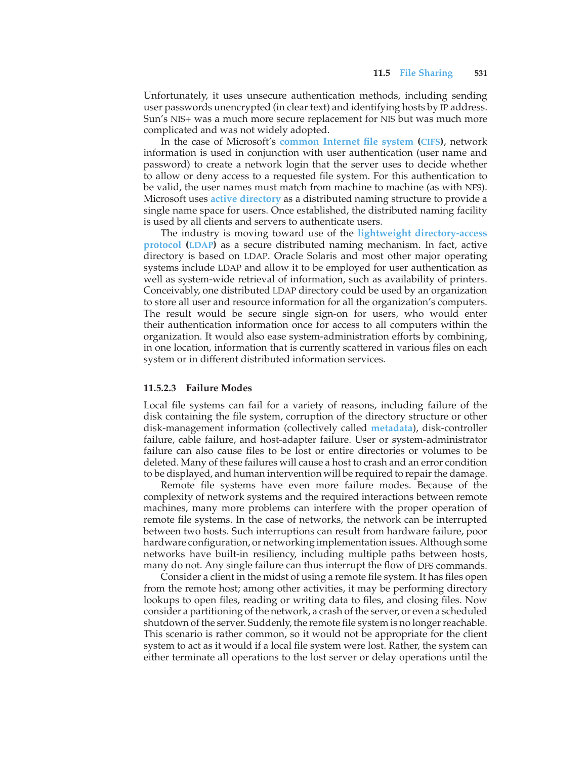Unfortunately, it uses unsecure authentication methods, including sending user passwords unencrypted (in clear text) and identifying hosts by IP address. Sun's NIS+ was a much more secure replacement for NIS but was much more complicated and was not widely adopted.

In the case of Microsoft's **common Internet file system (CIFS)**, network information is used in conjunction with user authentication (user name and password) to create a network login that the server uses to decide whether to allow or deny access to a requested file system. For this authentication to be valid, the user names must match from machine to machine (as with NFS). Microsoft uses **active directory** as a distributed naming structure to provide a single name space for users. Once established, the distributed naming facility is used by all clients and servers to authenticate users.

The industry is moving toward use of the **lightweight directory-access protocol (LDAP)** as a secure distributed naming mechanism. In fact, active directory is based on LDAP. Oracle Solaris and most other major operating systems include LDAP and allow it to be employed for user authentication as well as system-wide retrieval of information, such as availability of printers. Conceivably, one distributed LDAP directory could be used by an organization to store all user and resource information for all the organization's computers. The result would be secure single sign-on for users, who would enter their authentication information once for access to all computers within the organization. It would also ease system-administration efforts by combining, in one location, information that is currently scattered in various files on each system or in different distributed information services.

#### **11.5.2.3 Failure Modes**

Local file systems can fail for a variety of reasons, including failure of the disk containing the file system, corruption of the directory structure or other disk-management information (collectively called **metadata**), disk-controller failure, cable failure, and host-adapter failure. User or system-administrator failure can also cause files to be lost or entire directories or volumes to be deleted. Many of these failures will cause a host to crash and an error condition to be displayed, and human intervention will be required to repair the damage.

Remote file systems have even more failure modes. Because of the complexity of network systems and the required interactions between remote machines, many more problems can interfere with the proper operation of remote file systems. In the case of networks, the network can be interrupted between two hosts. Such interruptions can result from hardware failure, poor hardware configuration, or networking implementation issues. Although some networks have built-in resiliency, including multiple paths between hosts, many do not. Any single failure can thus interrupt the flow of DFS commands.

Consider a client in the midst of using a remote file system. It has files open from the remote host; among other activities, it may be performing directory lookups to open files, reading or writing data to files, and closing files. Now consider a partitioning of the network, a crash of the server, or even a scheduled shutdown of the server. Suddenly, the remote file system is no longer reachable. This scenario is rather common, so it would not be appropriate for the client system to act as it would if a local file system were lost. Rather, the system can either terminate all operations to the lost server or delay operations until the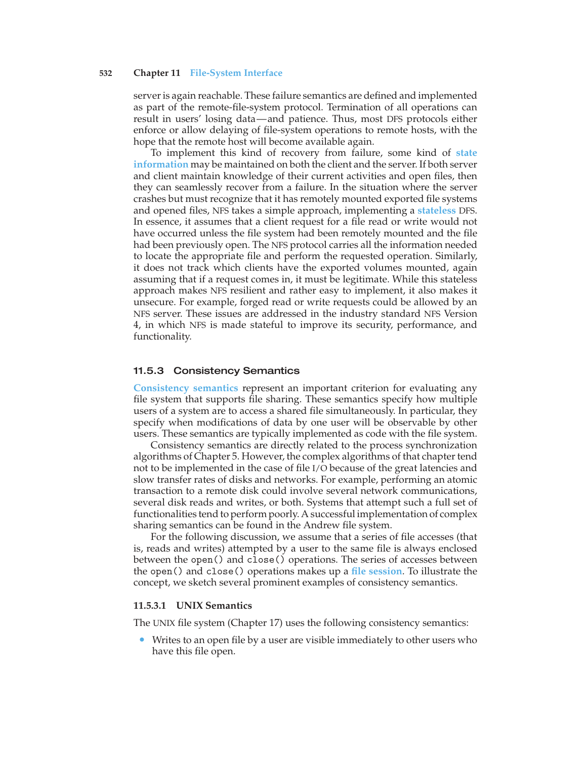server is again reachable. These failure semantics are defined and implemented as part of the remote-file-system protocol. Termination of all operations can result in users' losing data—and patience. Thus, most DFS protocols either enforce or allow delaying of file-system operations to remote hosts, with the hope that the remote host will become available again.

To implement this kind of recovery from failure, some kind of **state information** may be maintained on both the client and the server. If both server and client maintain knowledge of their current activities and open files, then they can seamlessly recover from a failure. In the situation where the server crashes but must recognize that it has remotely mounted exported file systems and opened files, NFS takes a simple approach, implementing a **stateless** DFS. In essence, it assumes that a client request for a file read or write would not have occurred unless the file system had been remotely mounted and the file had been previously open. The NFS protocol carries all the information needed to locate the appropriate file and perform the requested operation. Similarly, it does not track which clients have the exported volumes mounted, again assuming that if a request comes in, it must be legitimate. While this stateless approach makes NFS resilient and rather easy to implement, it also makes it unsecure. For example, forged read or write requests could be allowed by an NFS server. These issues are addressed in the industry standard NFS Version 4, in which NFS is made stateful to improve its security, performance, and functionality.

## 11.5.3 Consistency Semantics

**Consistency semantics** represent an important criterion for evaluating any file system that supports file sharing. These semantics specify how multiple users of a system are to access a shared file simultaneously. In particular, they specify when modifications of data by one user will be observable by other users. These semantics are typically implemented as code with the file system.

Consistency semantics are directly related to the process synchronization algorithms of Chapter 5. However, the complex algorithms of that chapter tend not to be implemented in the case of file I/O because of the great latencies and slow transfer rates of disks and networks. For example, performing an atomic transaction to a remote disk could involve several network communications, several disk reads and writes, or both. Systems that attempt such a full set of functionalities tend to perform poorly. A successful implementation of complex sharing semantics can be found in the Andrew file system.

For the following discussion, we assume that a series of file accesses (that is, reads and writes) attempted by a user to the same file is always enclosed between the open() and close() operations. The series of accesses between the open() and close() operations makes up a **file session**. To illustrate the concept, we sketch several prominent examples of consistency semantics.

# **11.5.3.1 UNIX Semantics**

The UNIX file system (Chapter 17) uses the following consistency semantics:

• Writes to an open file by a user are visible immediately to other users who have this file open.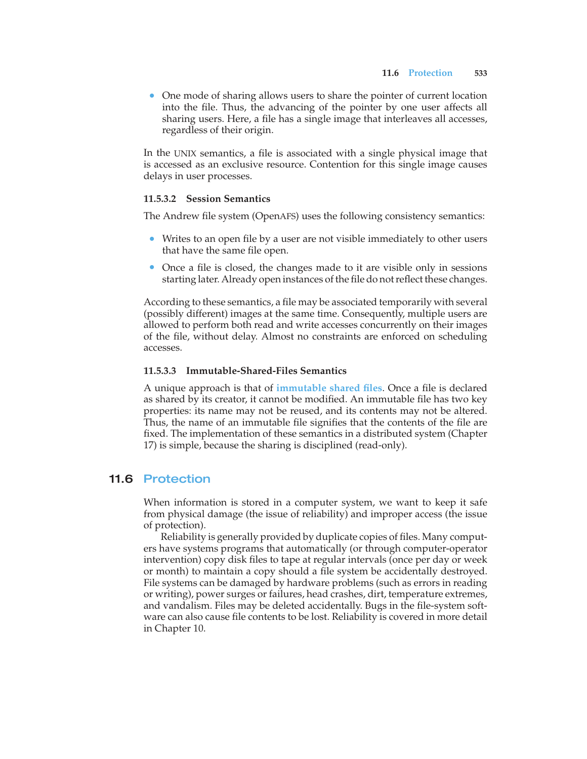• One mode of sharing allows users to share the pointer of current location into the file. Thus, the advancing of the pointer by one user affects all sharing users. Here, a file has a single image that interleaves all accesses, regardless of their origin.

In the UNIX semantics, a file is associated with a single physical image that is accessed as an exclusive resource. Contention for this single image causes delays in user processes.

## **11.5.3.2 Session Semantics**

The Andrew file system (OpenAFS) uses the following consistency semantics:

- Writes to an open file by a user are not visible immediately to other users that have the same file open.
- Once a file is closed, the changes made to it are visible only in sessions starting later. Already open instances of the file do not reflect these changes.

According to these semantics, a file may be associated temporarily with several (possibly different) images at the same time. Consequently, multiple users are allowed to perform both read and write accesses concurrently on their images of the file, without delay. Almost no constraints are enforced on scheduling accesses.

## **11.5.3.3 Immutable-Shared-Files Semantics**

A unique approach is that of **immutable shared files**. Once a file is declared as shared by its creator, it cannot be modified. An immutable file has two key properties: its name may not be reused, and its contents may not be altered. Thus, the name of an immutable file signifies that the contents of the file are fixed. The implementation of these semantics in a distributed system (Chapter 17) is simple, because the sharing is disciplined (read-only).

# 11.6 Protection

When information is stored in a computer system, we want to keep it safe from physical damage (the issue of reliability) and improper access (the issue of protection).

Reliability is generally provided by duplicate copies of files. Many computers have systems programs that automatically (or through computer-operator intervention) copy disk files to tape at regular intervals (once per day or week or month) to maintain a copy should a file system be accidentally destroyed. File systems can be damaged by hardware problems (such as errors in reading or writing), power surges or failures, head crashes, dirt, temperature extremes, and vandalism. Files may be deleted accidentally. Bugs in the file-system software can also cause file contents to be lost. Reliability is covered in more detail in Chapter 10.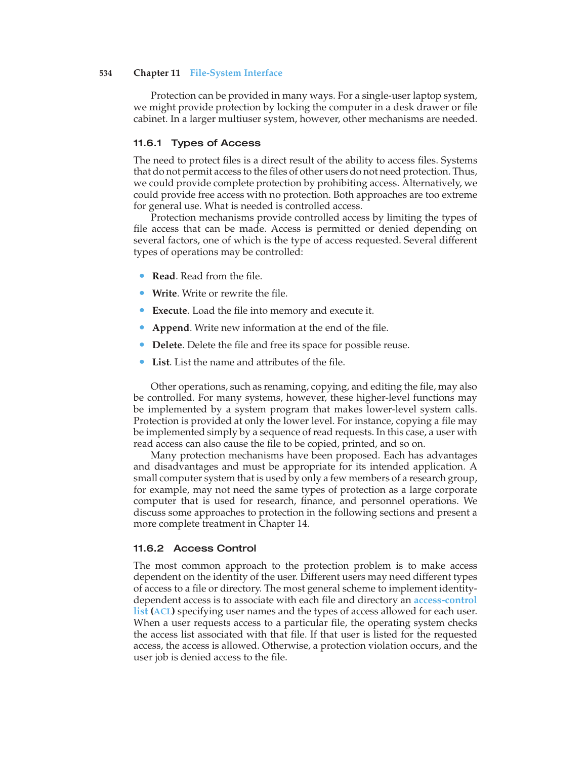Protection can be provided in many ways. For a single-user laptop system, we might provide protection by locking the computer in a desk drawer or file cabinet. In a larger multiuser system, however, other mechanisms are needed.

### 11.6.1 Types of Access

The need to protect files is a direct result of the ability to access files. Systems that do not permit access to the files of other users do not need protection. Thus, we could provide complete protection by prohibiting access. Alternatively, we could provide free access with no protection. Both approaches are too extreme for general use. What is needed is controlled access.

Protection mechanisms provide controlled access by limiting the types of file access that can be made. Access is permitted or denied depending on several factors, one of which is the type of access requested. Several different types of operations may be controlled:

- **Read**. Read from the file.
- **Write.** Write or rewrite the file.
- **Execute**. Load the file into memory and execute it.
- **Append**. Write new information at the end of the file.
- **Delete**. Delete the file and free its space for possible reuse.
- **List**. List the name and attributes of the file.

Other operations, such as renaming, copying, and editing the file, may also be controlled. For many systems, however, these higher-level functions may be implemented by a system program that makes lower-level system calls. Protection is provided at only the lower level. For instance, copying a file may be implemented simply by a sequence of read requests. In this case, a user with read access can also cause the file to be copied, printed, and so on.

Many protection mechanisms have been proposed. Each has advantages and disadvantages and must be appropriate for its intended application. A small computer system that is used by only a few members of a research group, for example, may not need the same types of protection as a large corporate computer that is used for research, finance, and personnel operations. We discuss some approaches to protection in the following sections and present a more complete treatment in Chapter 14.

#### 11.6.2 Access Control

The most common approach to the protection problem is to make access dependent on the identity of the user. Different users may need different types of access to a file or directory. The most general scheme to implement identitydependent access is to associate with each file and directory an **access-control list (ACL)** specifying user names and the types of access allowed for each user. When a user requests access to a particular file, the operating system checks the access list associated with that file. If that user is listed for the requested access, the access is allowed. Otherwise, a protection violation occurs, and the user job is denied access to the file.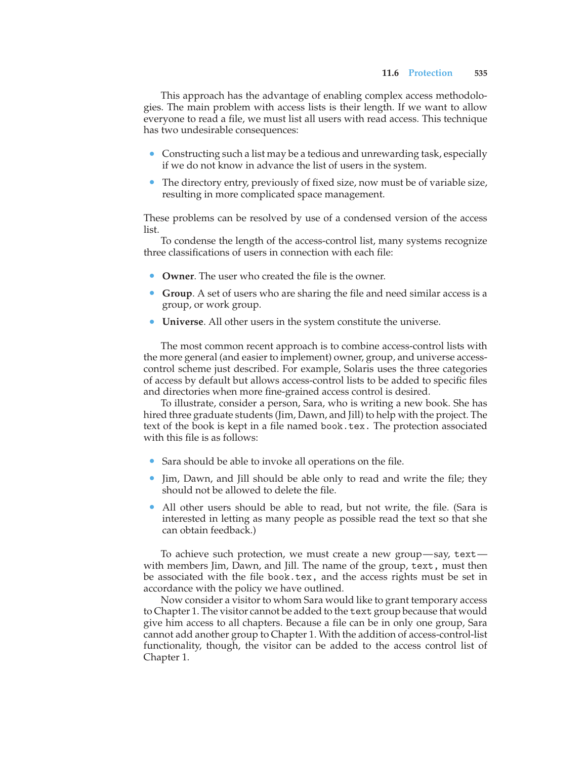This approach has the advantage of enabling complex access methodologies. The main problem with access lists is their length. If we want to allow everyone to read a file, we must list all users with read access. This technique has two undesirable consequences:

- Constructing such a list may be a tedious and unrewarding task, especially if we do not know in advance the list of users in the system.
- The directory entry, previously of fixed size, now must be of variable size, resulting in more complicated space management.

These problems can be resolved by use of a condensed version of the access list.

To condense the length of the access-control list, many systems recognize three classifications of users in connection with each file:

- **Owner**. The user who created the file is the owner.
- **Group**. A set of users who are sharing the file and need similar access is a group, or work group.
- **Universe**. All other users in the system constitute the universe.

The most common recent approach is to combine access-control lists with the more general (and easier to implement) owner, group, and universe accesscontrol scheme just described. For example, Solaris uses the three categories of access by default but allows access-control lists to be added to specific files and directories when more fine-grained access control is desired.

To illustrate, consider a person, Sara, who is writing a new book. She has hired three graduate students (Jim, Dawn, and Jill) to help with the project. The text of the book is kept in a file named book.tex. The protection associated with this file is as follows:

- Sara should be able to invoke all operations on the file.
- Jim, Dawn, and Jill should be able only to read and write the file; they should not be allowed to delete the file.
- All other users should be able to read, but not write, the file. (Sara is interested in letting as many people as possible read the text so that she can obtain feedback.)

To achieve such protection, we must create a new group—say, text with members Jim, Dawn, and Jill. The name of the group, text, must then be associated with the file book.tex, and the access rights must be set in accordance with the policy we have outlined.

Now consider a visitor to whom Sara would like to grant temporary access to Chapter 1. The visitor cannot be added to the text group because that would give him access to all chapters. Because a file can be in only one group, Sara cannot add another group to Chapter 1. With the addition of access-control-list functionality, though, the visitor can be added to the access control list of Chapter 1.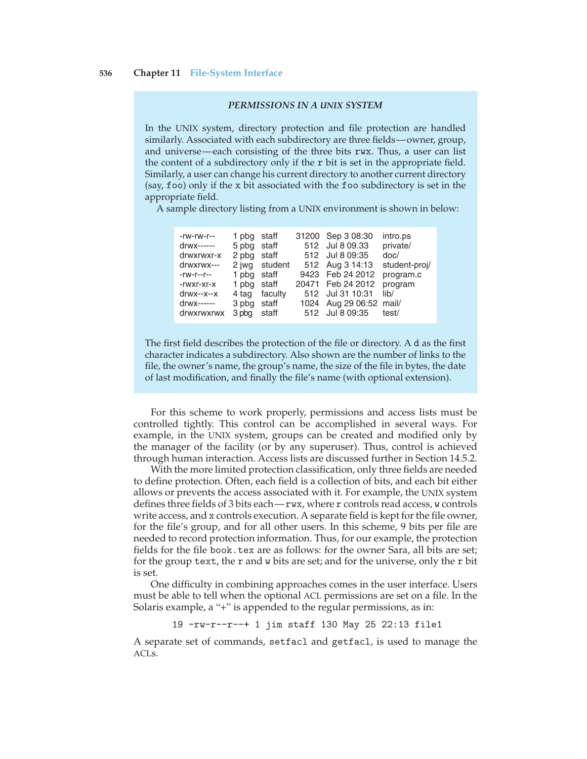### *PERMISSIONS IN A UNIX SYSTEM*

In the UNIX system, directory protection and file protection are handled similarly. Associated with each subdirectory are three fields—owner, group, and universe—each consisting of the three bits rwx. Thus, a user can list the content of a subdirectory only if the r bit is set in the appropriate field. Similarly, a user can change his current directory to another current directory (say, foo) only if the x bit associated with the foo subdirectory is set in the appropriate field.

A sample directory listing from a UNIX environment is shown in below:

| -rw-rw-r--<br>drwx------<br>drwxrwxr-x<br>drwxrwx---<br>-rw-r--r--<br>-rwxr-xr-x<br>drwx--x--x<br>drwx------<br>drwxrwxrwx | 1 pbg staff<br>5 pbg staff<br>2 pbg staff<br>1 pbg staff<br>1 pbg staff<br>3 pbg staff<br>3 pbg | 4 tag faculty<br>staff | 31200 Sep 3 08:30<br>512 Jul 8 09.33<br>512 Jul 8 09:35<br>2 jwg student 512 Aug 3 14:13<br>9423 Feb 24 2012<br>20471 Feb 24 2012<br>512 Jul 31 10:31<br>1024 Aug 29 06:52 mail/<br>512 Jul 8 09:35 | intro.ps<br>private/<br>doc/<br>student-proj/<br>program.c<br>program<br>lib/<br>test/ |
|----------------------------------------------------------------------------------------------------------------------------|-------------------------------------------------------------------------------------------------|------------------------|-----------------------------------------------------------------------------------------------------------------------------------------------------------------------------------------------------|----------------------------------------------------------------------------------------|
|                                                                                                                            |                                                                                                 |                        |                                                                                                                                                                                                     |                                                                                        |
|                                                                                                                            |                                                                                                 |                        |                                                                                                                                                                                                     |                                                                                        |

The first field describes the protection of the file or directory. A d as the first character indicates a subdirectory. Also shown are the number of links to the file, the owner's name, the group's name, the size of the file in bytes, the date of last modification, and finally the file's name (with optional extension).

For this scheme to work properly, permissions and access lists must be controlled tightly. This control can be accomplished in several ways. For example, in the UNIX system, groups can be created and modified only by the manager of the facility (or by any superuser). Thus, control is achieved through human interaction. Access lists are discussed further in Section 14.5.2.

With the more limited protection classification, only three fields are needed to define protection. Often, each field is a collection of bits, and each bit either allows or prevents the access associated with it. For example, the UNIX system defines three fields of 3 bits each—rwx, where r controls read access, w controls write access, and x controls execution. A separate field is kept for the file owner, for the file's group, and for all other users. In this scheme, 9 bits per file are needed to record protection information. Thus, for our example, the protection fields for the file book.tex are as follows: for the owner Sara, all bits are set; for the group text, the r and w bits are set; and for the universe, only the r bit is set.

One difficulty in combining approaches comes in the user interface. Users must be able to tell when the optional ACL permissions are set on a file. In the Solaris example, a "+" is appended to the regular permissions, as in:

19 -rw-r--r--+ 1 jim staff 130 May 25 22:13 file1

A separate set of commands, setfacl and getfacl, is used to manage the ACLs.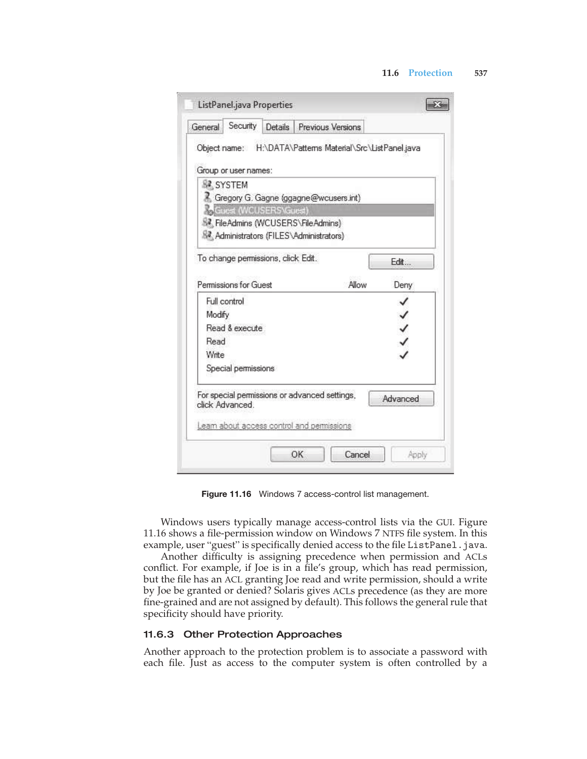| Security<br>General                                       | Details                                   | <b>Previous Versions</b> |          |
|-----------------------------------------------------------|-------------------------------------------|--------------------------|----------|
|                                                           |                                           |                          |          |
| Object name: H:\DATA\Patterns Material\Src\ListPanel.java |                                           |                          |          |
| Group or user names:                                      |                                           |                          |          |
| <b>R</b> SYSTEM                                           |                                           |                          |          |
|                                                           | & Gregory G. Gagne (ggagne@wcusers.int)   |                          |          |
| Guest (WCUSERS\Guest)                                     |                                           |                          |          |
|                                                           | <b>R.</b> FileAdmins (WCUSERS\FileAdmins) |                          |          |
|                                                           | St. Administrators (FILES\Administrators) |                          |          |
| To change permissions, click Edit.                        |                                           |                          | Edit     |
| Permissions for Guest                                     |                                           | Allow                    |          |
|                                                           |                                           |                          | Deny     |
| Full control                                              |                                           |                          |          |
| Modify                                                    |                                           |                          |          |
| Read & execute                                            |                                           |                          |          |
| Read                                                      |                                           |                          | 221.7    |
| Write                                                     |                                           |                          |          |
| Special permissions                                       |                                           |                          |          |
| For special permissions or advanced settings,             |                                           |                          | Advanced |
| click Advanced                                            |                                           |                          |          |
| Leam about access control and permissions                 |                                           |                          |          |
|                                                           |                                           |                          |          |

Figure 11.16 Windows 7 access-control list management.

Windows users typically manage access-control lists via the GUI. Figure 11.16 shows a file-permission window on Windows 7 NTFS file system. In this example, user "guest" is specifically denied access to the file ListPanel.java.

Another difficulty is assigning precedence when permission and ACLs conflict. For example, if Joe is in a file's group, which has read permission, but the file has an ACL granting Joe read and write permission, should a write by Joe be granted or denied? Solaris gives ACLs precedence (as they are more fine-grained and are not assigned by default). This follows the general rule that specificity should have priority.

# 11.6.3 Other Protection Approaches

Another approach to the protection problem is to associate a password with each file. Just as access to the computer system is often controlled by a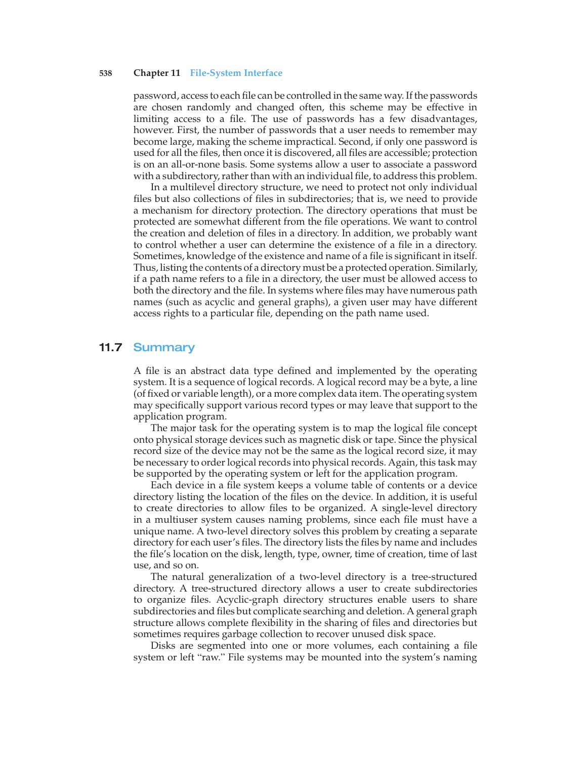password, access to each file can be controlled in the same way. If the passwords are chosen randomly and changed often, this scheme may be effective in limiting access to a file. The use of passwords has a few disadvantages, however. First, the number of passwords that a user needs to remember may become large, making the scheme impractical. Second, if only one password is used for all the files, then once it is discovered, all files are accessible; protection is on an all-or-none basis. Some systems allow a user to associate a password with a subdirectory, rather than with an individual file, to address this problem.

In a multilevel directory structure, we need to protect not only individual files but also collections of files in subdirectories; that is, we need to provide a mechanism for directory protection. The directory operations that must be protected are somewhat different from the file operations. We want to control the creation and deletion of files in a directory. In addition, we probably want to control whether a user can determine the existence of a file in a directory. Sometimes, knowledge of the existence and name of a file is significant in itself. Thus, listing the contents of a directory must be a protected operation. Similarly, if a path name refers to a file in a directory, the user must be allowed access to both the directory and the file. In systems where files may have numerous path names (such as acyclic and general graphs), a given user may have different access rights to a particular file, depending on the path name used.

# 11.7 Summary

A file is an abstract data type defined and implemented by the operating system. It is a sequence of logical records. A logical record may be a byte, a line (of fixed or variable length), or a more complex data item. The operating system may specifically support various record types or may leave that support to the application program.

The major task for the operating system is to map the logical file concept onto physical storage devices such as magnetic disk or tape. Since the physical record size of the device may not be the same as the logical record size, it may be necessary to order logical records into physical records. Again, this task may be supported by the operating system or left for the application program.

Each device in a file system keeps a volume table of contents or a device directory listing the location of the files on the device. In addition, it is useful to create directories to allow files to be organized. A single-level directory in a multiuser system causes naming problems, since each file must have a unique name. A two-level directory solves this problem by creating a separate directory for each user's files. The directory lists the files by name and includes the file's location on the disk, length, type, owner, time of creation, time of last use, and so on.

The natural generalization of a two-level directory is a tree-structured directory. A tree-structured directory allows a user to create subdirectories to organize files. Acyclic-graph directory structures enable users to share subdirectories and files but complicate searching and deletion. A general graph structure allows complete flexibility in the sharing of files and directories but sometimes requires garbage collection to recover unused disk space.

Disks are segmented into one or more volumes, each containing a file system or left "raw." File systems may be mounted into the system's naming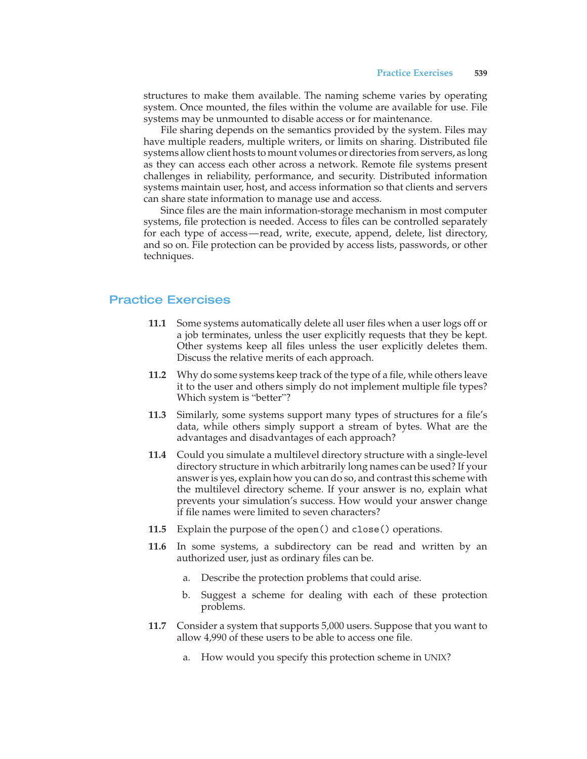structures to make them available. The naming scheme varies by operating system. Once mounted, the files within the volume are available for use. File systems may be unmounted to disable access or for maintenance.

File sharing depends on the semantics provided by the system. Files may have multiple readers, multiple writers, or limits on sharing. Distributed file systems allow client hosts to mount volumes or directories from servers, as long as they can access each other across a network. Remote file systems present challenges in reliability, performance, and security. Distributed information systems maintain user, host, and access information so that clients and servers can share state information to manage use and access.

Since files are the main information-storage mechanism in most computer systems, file protection is needed. Access to files can be controlled separately for each type of access—read, write, execute, append, delete, list directory, and so on. File protection can be provided by access lists, passwords, or other techniques.

# Practice Exercises

- **11.1** Some systems automatically delete all user files when a user logs off or a job terminates, unless the user explicitly requests that they be kept. Other systems keep all files unless the user explicitly deletes them. Discuss the relative merits of each approach.
- **11.2** Why do some systems keep track of the type of a file, while others leave it to the user and others simply do not implement multiple file types? Which system is "better"?
- **11.3** Similarly, some systems support many types of structures for a file's data, while others simply support a stream of bytes. What are the advantages and disadvantages of each approach?
- **11.4** Could you simulate a multilevel directory structure with a single-level directory structure in which arbitrarily long names can be used? If your answer is yes, explain how you can do so, and contrast this scheme with the multilevel directory scheme. If your answer is no, explain what prevents your simulation's success. How would your answer change if file names were limited to seven characters?
- **11.5** Explain the purpose of the open() and close() operations.
- **11.6** In some systems, a subdirectory can be read and written by an authorized user, just as ordinary files can be.
	- a. Describe the protection problems that could arise.
	- b. Suggest a scheme for dealing with each of these protection problems.
- **11.7** Consider a system that supports 5,000 users. Suppose that you want to allow 4,990 of these users to be able to access one file.
	- a. How would you specify this protection scheme in UNIX?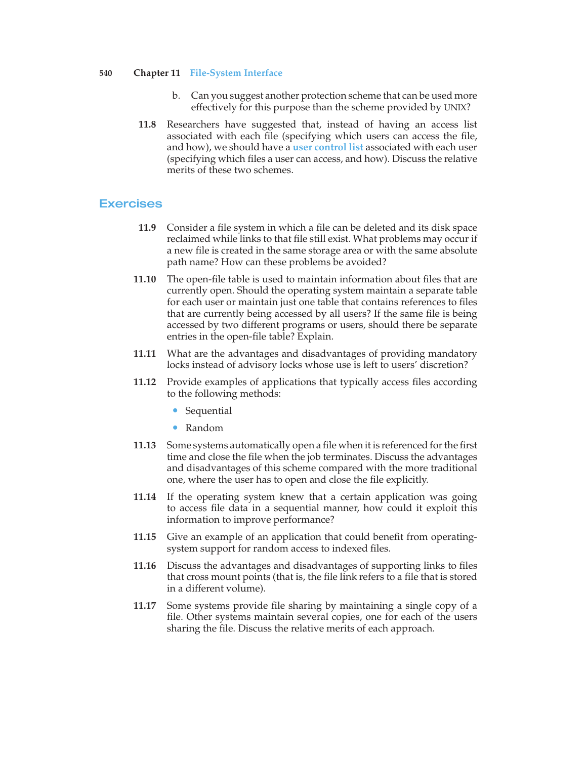- b. Can you suggest another protection scheme that can be used more effectively for this purpose than the scheme provided by UNIX?
- **11.8** Researchers have suggested that, instead of having an access list associated with each file (specifying which users can access the file, and how), we should have a **user control list** associated with each user (specifying which files a user can access, and how). Discuss the relative merits of these two schemes.

# **Exercises**

- **11.9** Consider a file system in which a file can be deleted and its disk space reclaimed while links to that file still exist. What problems may occur if a new file is created in the same storage area or with the same absolute path name? How can these problems be avoided?
- **11.10** The open-file table is used to maintain information about files that are currently open. Should the operating system maintain a separate table for each user or maintain just one table that contains references to files that are currently being accessed by all users? If the same file is being accessed by two different programs or users, should there be separate entries in the open-file table? Explain.
- **11.11** What are the advantages and disadvantages of providing mandatory locks instead of advisory locks whose use is left to users' discretion?
- **11.12** Provide examples of applications that typically access files according to the following methods:
	- Sequential
	- Random
- **11.13** Some systems automatically open a file when it is referenced for the first time and close the file when the job terminates. Discuss the advantages and disadvantages of this scheme compared with the more traditional one, where the user has to open and close the file explicitly.
- **11.14** If the operating system knew that a certain application was going to access file data in a sequential manner, how could it exploit this information to improve performance?
- **11.15** Give an example of an application that could benefit from operatingsystem support for random access to indexed files.
- **11.16** Discuss the advantages and disadvantages of supporting links to files that cross mount points (that is, the file link refers to a file that is stored in a different volume).
- **11.17** Some systems provide file sharing by maintaining a single copy of a file. Other systems maintain several copies, one for each of the users sharing the file. Discuss the relative merits of each approach.